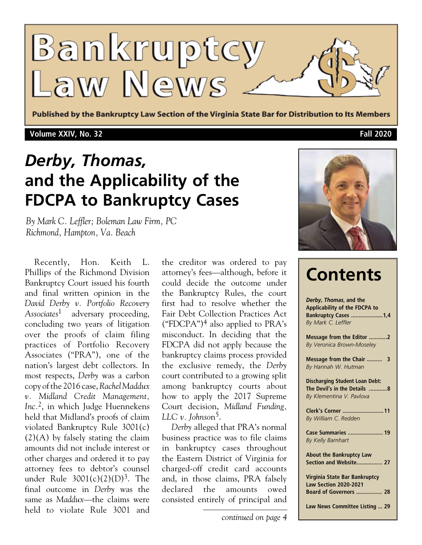

Published by the Bankruptcy Law Section of the Virginia State Bar for Distribution to Its Members

## **Volume XXIV, No. 32 Fall 2020**

# *Derby, Thomas,* **and the Applicability of the FDCPA to Bankruptcy Cases**

*By Mark C. Leffler; Boleman Law Firm, PC Richmond, Hampton, Va. Beach*

Recently, Hon. Keith L. Phillips of the Richmond Division Bankruptcy Court issued his fourth and final written opinion in the *David Derby v. Portfolio Recovery Associates*1 adversary proceeding, concluding two years of litigation over the proofs of claim filing practices of Portfolio Recovery Associates ("PRA"), one of the nation's largest debt collectors. In most respects, *Derby* was a carbon copy of the 2016 case, *Rachel Maddux v. Midland Credit Management, Inc.*2, in which Judge Huennekens held that Midland's proofs of claim violated Bankruptcy Rule 3001(c) (2)(A) by falsely stating the claim amounts did not include interest or other charges and ordered it to pay attorney fees to debtor's counsel under Rule  $3001(c)(2)(D)^3$ . The final outcome in *Derby* was the same as *Maddux*—the claims were held to violate Rule 3001 and the creditor was ordered to pay attorney's fees—although, before it could decide the outcome under the Bankruptcy Rules, the court first had to resolve whether the Fair Debt Collection Practices Act ("FDCPA")<sup>4</sup> also applied to PRA's misconduct. In deciding that the FDCPA did not apply because the bankruptcy claims process provided the exclusive remedy, the *Derby* court contributed to a growing split among bankruptcy courts about how to apply the 2017 Supreme Court decision, *Midland Funding, LLC v. Johnso*n5.

*Derby* alleged that PRA's normal business practice was to file claims in bankruptcy cases throughout the Eastern District of Virginia for charged-off credit card accounts and, in those claims, PRA falsely declared the amounts owed consisted entirely of principal and





| <b>Contents</b>                                                                                              |
|--------------------------------------------------------------------------------------------------------------|
| Derby, Thomas, and the<br>Applicability of the FDCPA to<br><b>Bankruptcy Cases 1,4</b><br>By Mark C. Leffler |
| Message from the Editor 2<br>By Veronica Brown-Moseley                                                       |
| Message from the Chair  3<br>By Hannah W. Hutman                                                             |
| <b>Discharging Student Loan Debt:</b><br>The Devil's in the Details 8<br>By Klementina V. Pavlova            |
| Clerk's Corner 11<br>By William C. Redden                                                                    |
| Case Summaries  19<br>By Kelly Barnhart                                                                      |
| <b>About the Bankruptcy Law</b><br>Section and Website 27                                                    |
| Virginia State Bar Bankruptcy<br><b>Law Section 2020-2021</b><br><b>Board of Governors  28</b>               |
| Law News Committee Listing  29                                                                               |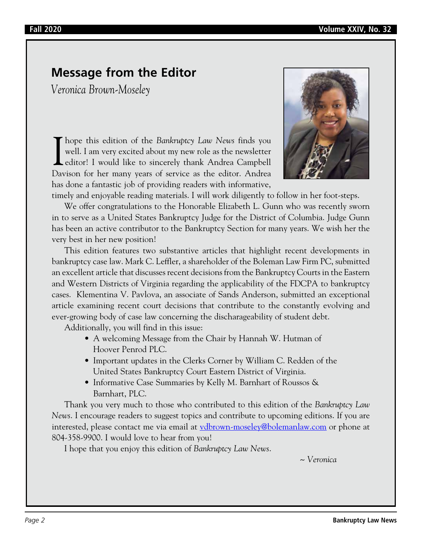# **Message from the Editor**

*Veronica Brown-Moseley*

I hope this edition of the *Bankruptcy Law News* finds you well. I am very excited about my new role as the newsletter editor! I would like to sincerely thank Andrea Campbell Devisor for her many years of service as the ed well. I am very excited about my new role as the newsletter editor! I would like to sincerely thank Andrea Campbell Davison for her many years of service as the editor. Andrea has done a fantastic job of providing readers with informative,



timely and enjoyable reading materials. I will work diligently to follow in her foot-steps.

We offer congratulations to the Honorable Elizabeth L. Gunn who was recently sworn in to serve as a United States Bankruptcy Judge for the District of Columbia. Judge Gunn has been an active contributor to the Bankruptcy Section for many years. We wish her the very best in her new position!

This edition features two substantive articles that highlight recent developments in bankruptcy case law. Mark C. Leffler, a shareholder of the Boleman Law Firm PC, submitted an excellent article that discusses recent decisions from the Bankruptcy Courts in the Eastern and Western Districts of Virginia regarding the applicability of the FDCPA to bankruptcy cases. Klementina V. Pavlova, an associate of Sands Anderson, submitted an exceptional article examining recent court decisions that contribute to the constantly evolving and ever-growing body of case law concerning the discharageability of student debt.

Additionally, you will find in this issue:

- A welcoming Message from the Chair by Hannah W. Hutman of Hoover Penrod PLC.
- Important updates in the Clerks Corner by William C. Redden of the United States Bankruptcy Court Eastern District of Virginia.
- Informative Case Summaries by Kelly M. Barnhart of Roussos & Barnhart, PLC.

Thank you very much to those who contributed to this edition of the *Bankruptcy Law News*. I encourage readers to suggest topics and contribute to upcoming editions. If you are interested, please contact me via email at <u>vdbrown-moseley@bolemanlaw.com</u> or phone at 804-358-9900. I would love to hear from you!

I hope that you enjoy this edition of *Bankruptcy Law News*.

*~ Veronica*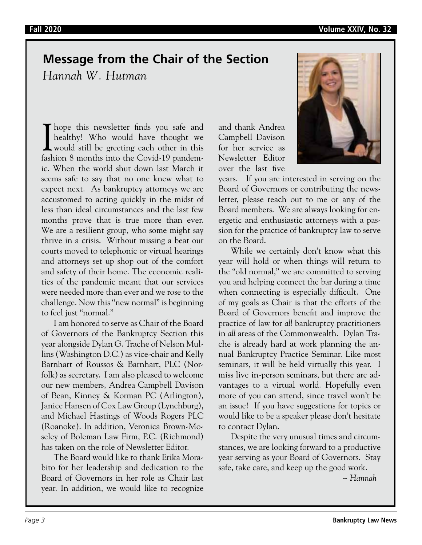# **Message from the Chair of the Section**

*Hannah W. Hutman*

I hope this newsletter finds you safe and<br>healthy! Who would have thought we<br>would still be greeting each other in this<br>feshion 8 months into the Covid 10 pandom healthy! Who would have thought we would still be greeting each other in this fashion 8 months into the Covid-19 pandemic. When the world shut down last March it seems safe to say that no one knew what to expect next. As bankruptcy attorneys we are accustomed to acting quickly in the midst of less than ideal circumstances and the last few months prove that is true more than ever. We are a resilient group, who some might say thrive in a crisis. Without missing a beat our courts moved to telephonic or virtual hearings and attorneys set up shop out of the comfort and safety of their home. The economic realities of the pandemic meant that our services were needed more than ever and we rose to the challenge. Now this "new normal" is beginning to feel just "normal."

I am honored to serve as Chair of the Board of Governors of the Bankruptcy Section this year alongside Dylan G. Trache of Nelson Mullins (Washington D.C.) as vice-chair and Kelly Barnhart of Roussos & Barnhart, PLC (Norfolk) as secretary. I am also pleased to welcome our new members, Andrea Campbell Davison of Bean, Kinney & Korman PC (Arlington), Janice Hansen of Cox Law Group (Lynchburg), and Michael Hastings of Woods Rogers PLC (Roanoke). In addition, Veronica Brown-Moseley of Boleman Law Firm, P.C. (Richmond) has taken on the role of Newsletter Editor.

The Board would like to thank Erika Morabito for her leadership and dedication to the Board of Governors in her role as Chair last year. In addition, we would like to recognize and thank Andrea Campbell Davison for her service as Newsletter Editor over the last five



years. If you are interested in serving on the Board of Governors or contributing the newsletter, please reach out to me or any of the Board members. We are always looking for energetic and enthusiastic attorneys with a passion for the practice of bankruptcy law to serve on the Board.

While we certainly don't know what this year will hold or when things will return to the "old normal," we are committed to serving you and helping connect the bar during a time when connecting is especially difficult. One of my goals as Chair is that the efforts of the Board of Governors benefit and improve the practice of law for *all* bankruptcy practitioners in *all* areas of the Commonwealth. Dylan Trache is already hard at work planning the annual Bankruptcy Practice Seminar. Like most seminars, it will be held virtually this year. I miss live in-person seminars, but there are advantages to a virtual world. Hopefully even more of you can attend, since travel won't be an issue! If you have suggestions for topics or would like to be a speaker please don't hesitate to contact Dylan.

Despite the very unusual times and circumstances, we are looking forward to a productive year serving as your Board of Governors. Stay safe, take care, and keep up the good work.

*~ Hannah*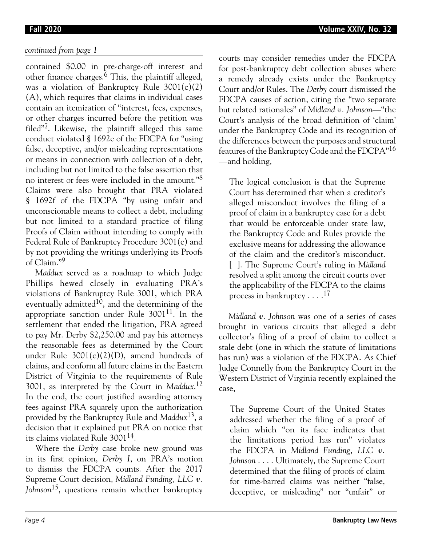## *continued from page 1*

contained \$0.00 in pre-charge-off interest and other finance charges.6 This, the plaintiff alleged, was a violation of Bankruptcy Rule 3001(c)(2) (A), which requires that claims in individual cases contain an itemization of "interest, fees, expenses, or other charges incurred before the petition was filed"7. Likewise, the plaintiff alleged this same conduct violated § 1692e of the FDCPA for "using false, deceptive, and/or misleading representations or means in connection with collection of a debt, including but not limited to the false assertion that no interest or fees were included in the amount."<sup>8</sup> Claims were also brought that PRA violated § 1692f of the FDCPA "by using unfair and unconscionable means to collect a debt, including but not limited to a standard practice of filing Proofs of Claim without intending to comply with Federal Rule of Bankruptcy Procedure 3001(c) and by not providing the writings underlying its Proofs of Claim."9

*Maddux* served as a roadmap to which Judge Phillips hewed closely in evaluating PRA's violations of Bankruptcy Rule 3001, which PRA eventually admitted<sup>10</sup>, and the determining of the appropriate sanction under Rule  $3001^{11}$ . In the settlement that ended the litigation, PRA agreed to pay Mr. Derby \$2,250.00 and pay his attorneys the reasonable fees as determined by the Court under Rule 3001(c)(2)(D), amend hundreds of claims, and conform all future claims in the Eastern District of Virginia to the requirements of Rule 3001, as interpreted by the Court in *Maddux*. 12 In the end, the court justified awarding attorney fees against PRA squarely upon the authorization provided by the Bankruptcy Rule and *Maddux*13, a decision that it explained put PRA on notice that its claims violated Rule 300114.

Where the *Derby* case broke new ground was in its first opinion, *Derby I*, on PRA's motion to dismiss the FDCPA counts. After the 2017 Supreme Court decision, *Midland Funding, LLC v. Johnson*15, questions remain whether bankruptcy

courts may consider remedies under the FDCPA for post-bankruptcy debt collection abuses where a remedy already exists under the Bankruptcy Court and/or Rules. The *Derby* court dismissed the FDCPA causes of action, citing the "two separate but related rationales" of *Midland v. Johnson*—"the Court's analysis of the broad definition of 'claim' under the Bankruptcy Code and its recognition of the differences between the purposes and structural features of the Bankruptcy Code and the FDCPA"<sup>16</sup> —and holding,

The logical conclusion is that the Supreme Court has determined that when a creditor's alleged misconduct involves the filing of a proof of claim in a bankruptcy case for a debt that would be enforceable under state law, the Bankruptcy Code and Rules provide the exclusive means for addressing the allowance of the claim and the creditor's misconduct. [ ]. The Supreme Court's ruling in *Midland* resolved a split among the circuit courts over the applicability of the FDCPA to the claims process in bankruptcy  $\dots$ .<sup>17</sup>

*Midland v. Johnson* was one of a series of cases brought in various circuits that alleged a debt collector's filing of a proof of claim to collect a stale debt (one in which the statute of limitations has run) was a violation of the FDCPA. As Chief Judge Connelly from the Bankruptcy Court in the Western District of Virginia recently explained the case,

The Supreme Court of the United States addressed whether the filing of a proof of claim which "on its face indicates that the limitations period has run" violates the FDCPA in *Midland Funding, LLC v. Johnson* . . . . Ultimately, the Supreme Court determined that the filing of proofs of claim for time-barred claims was neither "false, deceptive, or misleading" nor "unfair" or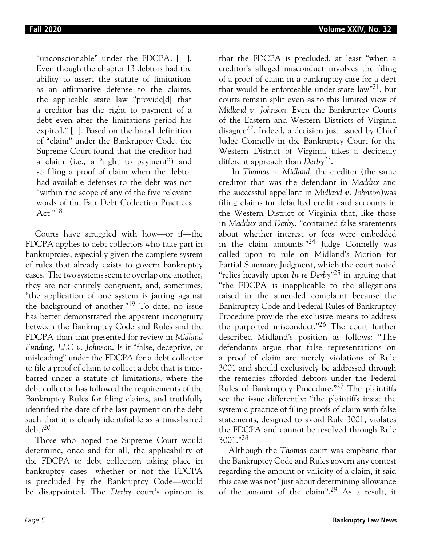"unconscionable" under the FDCPA. [ ]. Even though the chapter 13 debtors had the ability to assert the statute of limitations as an affirmative defense to the claims, the applicable state law "provide[d] that a creditor has the right to payment of a debt even after the limitations period has expired." [ ]. Based on the broad definition of "claim" under the Bankruptcy Code, the Supreme Court found that the creditor had a claim (i.e., a "right to payment") and so filing a proof of claim when the debtor had available defenses to the debt was not "within the scope of any of the five relevant words of the Fair Debt Collection Practices Act."18

Courts have struggled with how—or if—the FDCPA applies to debt collectors who take part in bankruptcies, especially given the complete system of rules that already exists to govern bankruptcy cases. The two systems seem to overlap one another, they are not entirely congruent, and, sometimes, "the application of one system is jarring against the background of another."19 To date, no issue has better demonstrated the apparent incongruity between the Bankruptcy Code and Rules and the FDCPA than that presented for review in *Midland Funding, LLC v. Johnson*: Is it "false, deceptive, or misleading" under the FDCPA for a debt collector to file a proof of claim to collect a debt that is timebarred under a statute of limitations, where the debt collector has followed the requirements of the Bankruptcy Rules for filing claims, and truthfully identified the date of the last payment on the debt such that it is clearly identifiable as a time-barred debt?20

Those who hoped the Supreme Court would determine, once and for all, the applicability of the FDCPA to debt collection taking place in bankruptcy cases—whether or not the FDCPA is precluded by the Bankruptcy Code—would be disappointed. The *Derby* court's opinion is

that the FDCPA is precluded, at least "when a creditor's alleged misconduct involves the filing of a proof of claim in a bankruptcy case for a debt that would be enforceable under state  $law^2$ , but courts remain split even as to this limited view of *Midland v. Johnson*. Even the Bankruptcy Courts of the Eastern and Western Districts of Virginia disagree<sup>22</sup>. Indeed, a decision just issued by Chief Judge Connelly in the Bankruptcy Court for the Western District of Virginia takes a decidedly different approach than *Derby*23.

In *Thomas v. Midland*, the creditor (the same creditor that was the defendant in *Maddux* and the successful appellant in *Midland v. Johnson*)was filing claims for defaulted credit card accounts in the Western District of Virginia that, like those in *Maddux* and *Derby*, "contained false statements about whether interest or fees were embedded in the claim amounts."24 Judge Connelly was called upon to rule on Midland's Motion for Partial Summary Judgment, which the court noted "relies heavily upon *In re Derby*"25 in arguing that "the FDCPA is inapplicable to the allegations raised in the amended complaint because the Bankruptcy Code and Federal Rules of Bankruptcy Procedure provide the exclusive means to address the purported misconduct."26 The court further described Midland's position as follows: "The defendants argue that false representations on a proof of claim are merely violations of Rule 3001 and should exclusively be addressed through the remedies afforded debtors under the Federal Rules of Bankruptcy Procedure."27 The plaintiffs see the issue differently: "the plaintiffs insist the systemic practice of filing proofs of claim with false statements, designed to avoid Rule 3001, violates the FDCPA and cannot be resolved through Rule 3001."<sup>28</sup>

Although the *Thomas* court was emphatic that the Bankruptcy Code and Rules govern any contest regarding the amount or validity of a claim, it said this case was not "just about determining allowance of the amount of the claim".29 As a result, it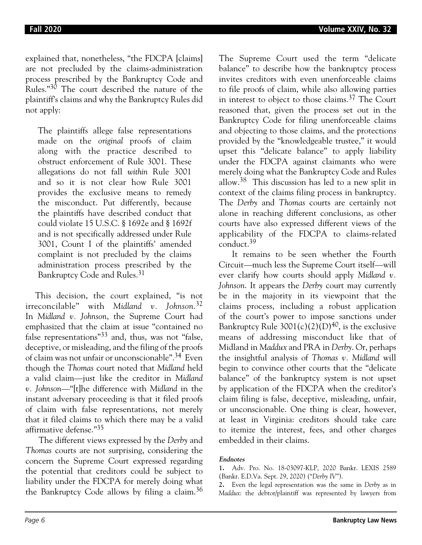explained that, nonetheless, "the FDCPA [claims] are not precluded by the claims-administration process prescribed by the Bankruptcy Code and Rules."30 The court described the nature of the plaintiff's claims and why the Bankruptcy Rules did not apply:

The plaintiffs allege false representations made on the *original* proofs of claim along with the practice described to obstruct enforcement of Rule 3001. These allegations do not fall *within* Rule 3001 and so it is not clear how Rule 3001 provides the exclusive means to remedy the misconduct. Put differently, because the plaintiffs have described conduct that could violate 15 U.S.C. § 1692e and § 1692f and is not specifically addressed under Rule 3001, Count I of the plaintiffs' amended complaint is not precluded by the claims administration process prescribed by the Bankruptcy Code and Rules.<sup>31</sup>

This decision, the court explained, "is not irreconcilable" with *Midland v. Johnson*. 32 In *Midland v. Johnson*, the Supreme Court had emphasized that the claim at issue "contained no false representations"33 and, thus, was not "false, deceptive, or misleading, and the filing of the proofs of claim was not unfair or unconscionable".34 Even though the *Thomas* court noted that *Midland* held a valid claim—just like the creditor in *Midland v. Johnson*—"[t]he difference with *Midland* in the instant adversary proceeding is that it filed proofs of claim with false representations, not merely that it filed claims to which there may be a valid affirmative defense."<sup>35</sup>

The different views expressed by the *Derby* and *Thomas* courts are not surprising, considering the concern the Supreme Court expressed regarding the potential that creditors could be subject to liability under the FDCPA for merely doing what the Bankruptcy Code allows by filing a claim.<sup>36</sup> The Supreme Court used the term "delicate balance" to describe how the bankruptcy process invites creditors with even unenforceable claims to file proofs of claim, while also allowing parties in interest to object to those claims.<sup>37</sup> The Court reasoned that, given the process set out in the Bankruptcy Code for filing unenforceable claims and objecting to those claims, and the protections provided by the "knowledgeable trustee," it would upset this "delicate balance" to apply liability under the FDCPA against claimants who were merely doing what the Bankruptcy Code and Rules allow.<sup>38</sup> This discussion has led to a new split in context of the claims filing process in bankruptcy. The *Derby* and *Thomas* courts are certainly not alone in reaching different conclusions, as other courts have also expressed different views of the applicability of the FDCPA to claims-related conduct.39

It remains to be seen whether the Fourth Circuit—much less the Supreme Court itself—will ever clarify how courts should apply *Midland v. Johnson*. It appears the *Derby* court may currently be in the majority in its viewpoint that the claims process, including a robust application of the court's power to impose sanctions under Bankruptcy Rule  $3001(c)(2)(D)^{40}$ , is the exclusive means of addressing misconduct like that of Midland in *Maddux* and PRA in *Derby*. Or, perhaps the insightful analysis of *Thomas v. Midland* will begin to convince other courts that the "delicate balance" of the bankruptcy system is not upset by application of the FDCPA when the creditor's claim filing is false, deceptive, misleading, unfair, or unconscionable. One thing is clear, however, at least in Virginia: creditors should take care to itemize the interest, fees, and other charges embedded in their claims.

### **Endnotes**

**2.** Even the legal representation was the same in *Derby* as in *Maddux*: the debtor/plaintiff was represented by lawyers from

**<sup>1.</sup>** Adv. Pro. No. 18-03097-KLP, 2020 Bankr. LEXIS 2589 (Bankr. E.D.Va. Sept. 29, 2020) ("*Derby IV*").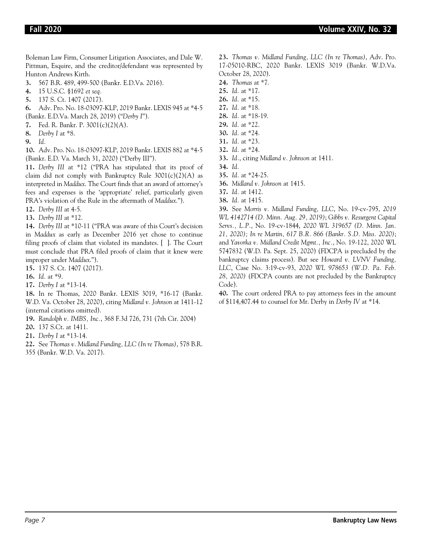Boleman Law Firm, Consumer Litigation Associates, and Dale W. Pittman, Esquire, and the creditor/defendant was represented by Hunton Andrews Kirth.

- **3.** 567 B.R. 489, 499-500 (Bankr. E.D.Va. 2016).
- **4.** 15 U.S.C. §1692 *et seq.*
- **5.** 137 S. Ct. 1407 (2017).

**6.** Adv. Pro. No. 18-03097-KLP, 2019 Bankr. LEXIS 945 at \*4-5 (Bankr. E.D.Va. March 28, 2019) ("*Derby I*").

- **7.** Fed. R. Bankr. P. 3001(c)(2)(A).
- **8.** *Derby I* at \*8.
- **9.** *Id.*

**10.** Adv. Pro. No. 18-03097-KLP, 2019 Bankr. LEXIS 882 at \*4-5 (Bankr. E.D. Va. March 31, 2020) ("Derby III").

**11.** *Derby III* at \*12 ("PRA has stipulated that its proof of claim did not comply with Bankruptcy Rule  $3001(c)(2)(A)$  as interpreted in *Maddux*. The Court finds that an award of attorney's fees and expenses is the 'appropriate' relief, particularly given PRA's violation of the Rule in the aftermath of *Maddux*.").

- **12.** *Derby III* at 4-5.
- **13.** *Derby III* at \*12.

**14.** *Derby III* at \*10-11 ("PRA was aware of this Court's decision in *Maddux* as early as December 2016 yet chose to continue filing proofs of claim that violated its mandates. [ ]. The Court must conclude that PRA filed proofs of claim that it knew were improper under *Maddux*.").

**15.** 137 S. Ct. 1407 (2017).

- **16.** *Id.* at \*9.
- **17.** *Derby I* at \*13-14.

**18.** In re Thomas, 2020 Bankr. LEXIS 3019, \*16-17 (Bankr. W.D. Va. October 28, 2020), citing *Midland v. Johnson* at 1411-12 (internal citations omitted).

- **19.** *Randolph v. IMBS, Inc.*, 368 F.3d 726, 731 (7th Cir. 2004)
- **20.** 137 S.Ct. at 1411.
- **21.** *Derby I* at \*13-14.
- **22.** See *Thomas v. Midland Funding, LLC (In re Thomas)*, 578 B.R.
- 355 (Bankr. W.D. Va. 2017).

**23.** *Thomas v. Midland Funding, LLC (In re Thomas)*, Adv. Pro. 17-05010-RBC, 2020 Bankr. LEXIS 3019 (Bankr. W.D.Va. October 28, 2020).

- **24.** *Thomas* at \*7.
- **25.** *Id.* at \*17.
- **26.** *Id.* at \*15.
- **27.** *Id.* at \*18.
- **28.** *Id.* at \*18-19.
- **29.** *Id.* at \*22.
- **30.** *Id.* at \*24.
- **31.** *Id.* at \*23.
- **32.** *Id.* at \*24.
- **33.** *Id.*, citing *Midland v. Johnson* at 1411.
- **34.** *Id.*
- **35.** *Id.* at \*24-25.
- **36.** *Midland v. Johnson* at 1415.
- **37.** *Id.* at 1412.
- **38.** *Id.* at 1415.

**39.** See *Morris v. Midland Funding, LLC*, No. 19-cv-795, *2019 WL 4142714 (D. Minn. Aug. 29, 2019)*; *Gibbs v. Resurgent Capital Servs., L.P.*, No. 19-cv-1844, *2020 WL 319657 (D. Minn. Jan. 21, 2020); In re Martin, 617 B.R. 866 (Bankr. S.D. Miss. 2020)*; and *Yavorka v. Midland Credit Mgmt., Inc.*, No. 19-122, 2020 WL 5747832 (W.D. Pa. Sept. 25, 2020) (FDCPA is precluded by the bankruptcy claims process). But see *Howard v. LVNV Funding, LLC*, Case No. 3:19-cv-93, *2020 WL 978653 (W.D. Pa. Feb. 28, 2020)* (FDCPA counts are not precluded by the Bankruptcy Code).

**40.** The court ordered PRA to pay attorneys fees in the amount of \$114,407.44 to counsel for Mr. Derby in *Derby IV* at \*14.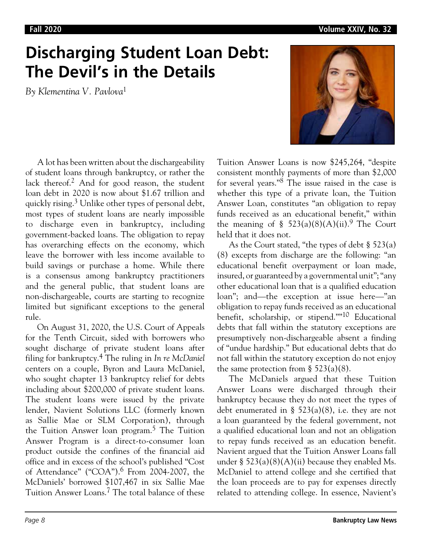# **Discharging Student Loan Debt: The Devil's in the Details**

*By Klementina V. Pavlova*1



A lot has been written about the dischargeability of student loans through bankruptcy, or rather the lack thereof.<sup>2</sup> And for good reason, the student loan debt in 2020 is now about \$1.67 trillion and quickly rising.3 Unlike other types of personal debt, most types of student loans are nearly impossible to discharge even in bankruptcy, including government-backed loans. The obligation to repay has overarching effects on the economy, which leave the borrower with less income available to build savings or purchase a home. While there is a consensus among bankruptcy practitioners and the general public, that student loans are non-dischargeable, courts are starting to recognize limited but significant exceptions to the general rule.

On August 31, 2020, the U.S. Court of Appeals for the Tenth Circuit, sided with borrowers who sought discharge of private student loans after filing for bankruptcy.4 The ruling in *In re McDaniel*  centers on a couple, Byron and Laura McDaniel, who sought chapter 13 bankruptcy relief for debts including about \$200,000 of private student loans. The student loans were issued by the private lender, Navient Solutions LLC (formerly known as Sallie Mae or SLM Corporation), through the Tuition Answer loan program.<sup>5</sup> The Tuition Answer Program is a direct-to-consumer loan product outside the confines of the financial aid office and in excess of the school's published "Cost of Attendance" ("COA").6 From 2004-2007, the McDaniels' borrowed \$107,467 in six Sallie Mae Tuition Answer Loans.7 The total balance of these

Tuition Answer Loans is now \$245,264, "despite consistent monthly payments of more than \$2,000 for several years." $8^{\circ}$  The issue raised in the case is whether this type of a private loan, the Tuition Answer Loan, constitutes "an obligation to repay funds received as an educational benefit," within the meaning of §  $523(a)(8)(A)(ii).$ <sup>9</sup> The Court held that it does not.

As the Court stated, "the types of debt § 523(a) (8) excepts from discharge are the following: "an educational benefit overpayment or loan made, insured, or guaranteed by a governmental unit"; "any other educational loan that is a qualified education loan"; and—the exception at issue here—"an obligation to repay funds received as an educational benefit, scholarship, or stipend.""10 Educational debts that fall within the statutory exceptions are presumptively non-dischargeable absent a finding of "undue hardship." But educational debts that do not fall within the statutory exception do not enjoy the same protection from  $\S$  523(a)(8).

The McDaniels argued that these Tuition Answer Loans were discharged through their bankruptcy because they do not meet the types of debt enumerated in §  $523(a)(8)$ , i.e. they are not a loan guaranteed by the federal government, not a qualified educational loan and not an obligation to repay funds received as an education benefit. Navient argued that the Tuition Answer Loans fall under §  $523(a)(8)(A)(ii)$  because they enabled Ms. McDaniel to attend college and she certified that the loan proceeds are to pay for expenses directly related to attending college. In essence, Navient's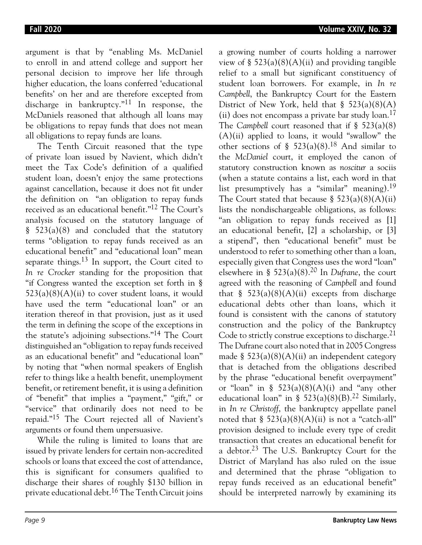argument is that by "enabling Ms. McDaniel to enroll in and attend college and support her personal decision to improve her life through higher education, the loans conferred 'educational benefits' on her and are therefore excepted from discharge in bankruptcy."11 In response, the McDaniels reasoned that although all loans may be obligations to repay funds that does not mean all obligations to repay funds are loans.

The Tenth Circuit reasoned that the type of private loan issued by Navient, which didn't meet the Tax Code's definition of a qualified student loan, doesn't enjoy the same protections against cancellation, because it does not fit under the definition on "an obligation to repay funds received as an educational benefit."12 The Court's analysis focused on the statutory language of § 523(a)(8) and concluded that the statutory terms "obligation to repay funds received as an educational benefit" and "educational loan" mean separate things.<sup>13</sup> In support, the Court cited to *In re Crocker* standing for the proposition that "if Congress wanted the exception set forth in §  $523(a)(8)(A)(ii)$  to cover student loans, it would have used the term "educational loan" or an iteration thereof in that provision, just as it used the term in defining the scope of the exceptions in the statute's adjoining subsections."14 The Court distinguished an "obligation to repay funds received as an educational benefit" and "educational loan" by noting that "when normal speakers of English refer to things like a health benefit, unemployment benefit, or retirement benefit, it is using a definition of "benefit" that implies a "payment," "gift," or "service" that ordinarily does not need to be repaid."15 The Court rejected all of Navient's arguments or found them unpersuasive.

While the ruling is limited to loans that are issued by private lenders for certain non-accredited schools or loans that exceed the cost of attendance, this is significant for consumers qualified to discharge their shares of roughly \$130 billion in private educational debt.16 The Tenth Circuit joins

a growing number of courts holding a narrower view of §  $523(a)(8)(A)(ii)$  and providing tangible relief to a small but significant constituency of student loan borrowers. For example, in *In re Campbell*, the Bankruptcy Court for the Eastern District of New York, held that  $\S$  523(a)(8)(A) (ii) does not encompass a private bar study  $\alpha$ <sub>17</sub> The *Campbell* court reasoned that if § 523(a)(8)  $(A)(ii)$  applied to loans, it would "swallow" the other sections of § 523(a)(8).<sup>18</sup> And similar to the *McDaniel* court, it employed the canon of statutory construction known as *noscitur* a sociis (when a statute contains a list, each word in that list presumptively has a "similar" meaning).<sup>19</sup> The Court stated that because  $\S$  523(a)(8)(A)(ii) lists the nondischargeable obligations, as follows: "an obligation to repay funds received as [1] an educational benefit, [2] a scholarship, or [3] a stipend", then "educational benefit" must be understood to refer to something other than a loan, especially given that Congress uses the word "loan" elsewhere in § 523(a)(8).20 In *Dufrane*, the court agreed with the reasoning of *Campbell* and found that  $\S$  523(a)(8)(A)(ii) excepts from discharge educational debts other than loans, which it found is consistent with the canons of statutory construction and the policy of the Bankruptcy Code to strictly construe exceptions to discharge.<sup>21</sup> The Dufrane court also noted that in 2005 Congress made §  $523(a)(8)(A)(ii)$  an independent category that is detached from the obligations described by the phrase "educational benefit overpayment" or "loan" in §  $523(a)(8)(A)(i)$  and "any other educational loan" in §  $523(a)(8)(B)$ .<sup>22</sup> Similarly, in *In re Christoff*, the bankruptcy appellate panel noted that  $\S$  523(a)(8)(A)(ii) is not a "catch-all" provision designed to include every type of credit transaction that creates an educational benefit for a debtor.23 The U.S. Bankruptcy Court for the District of Maryland has also ruled on the issue and determined that the phrase "obligation to repay funds received as an educational benefit" should be interpreted narrowly by examining its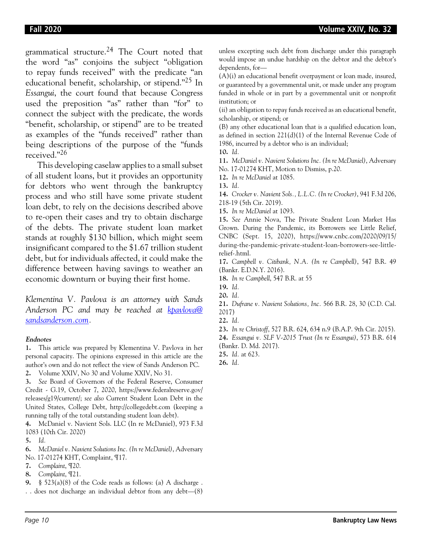grammatical structure.24 The Court noted that the word "as" conjoins the subject "obligation to repay funds received" with the predicate "an educational benefit, scholarship, or stipend."25 In *Essangui*, the court found that because Congress used the preposition "as" rather than "for" to connect the subject with the predicate, the words "benefit, scholarship, or stipend" are to be treated as examples of the "funds received" rather than being descriptions of the purpose of the "funds received."26

This developing caselaw applies to a small subset of all student loans, but it provides an opportunity for debtors who went through the bankruptcy process and who still have some private student loan debt, to rely on the decisions described above to re-open their cases and try to obtain discharge of the debts. The private student loan market stands at roughly \$130 billion, which might seem insignificant compared to the \$1.67 trillion student debt, but for individuals affected, it could make the difference between having savings to weather an economic downturn or buying their first home.

*Klementina V. Pavlova is an attorney with Sands Anderson PC and may be reached at kpavlova@ sandsanderson.com.*

### **Endnotes**

**1.** This article was prepared by Klementina V. Pavlova in her personal capacity. The opinions expressed in this article are the author's own and do not reflect the view of Sands Anderson PC.

**2.** Volume XXIV, No 30 and Volume XXIV, No 31.

**3.** *See* Board of Governors of the Federal Reserve, Consumer Credit - G.19, October 7, 2020, https://www.federalreserve.gov/ releases/g19/current/; *see also* Current Student Loan Debt in the United States, College Debt, http://collegedebt.com (keeping a running tally of the total outstanding student loan debt).

**4.** McDaniel v. Navient Sols. LLC (In re McDaniel), 973 F.3d 1083 (10th Cir. 2020)

**6.** *McDaniel v. Navient Solutions Inc. (In re McDaniel)*, Adversary No. 17-01274 KHT, Complaint, ¶17.

- **7.** *Complaint*, ¶20.
- **8.** *Complaint*, ¶21.

**9.** § 523(a)(8) of the Code reads as follows: (a) A discharge . . . does not discharge an individual debtor from any debt—(8) unless excepting such debt from discharge under this paragraph would impose an undue hardship on the debtor and the debtor's dependents, for—

(A)(i) an educational benefit overpayment or loan made, insured, or guaranteed by a governmental unit, or made under any program funded in whole or in part by a governmental unit or nonprofit institution; or

(ii) an obligation to repay funds received as an educational benefit, scholarship, or stipend; or

(B) any other educational loan that is a qualified education loan, as defined in section 221(d)(1) of the Internal Revenue Code of 1986, incurred by a debtor who is an individual;

**10.** *Id.*

**11.** *McDaniel v. Navient Solutions Inc. (In re McDaniel)*, Adversary

No. 17-01274 KHT, Motion to Dismiss, p.20.

**12.** *In re McDaniel* at 1085.

**13.** *Id.*

**14.** *Crocker v. Navient Sols., L.L.C. (In re Crocker)*, 941 F.3d 206, 218-19 (5th Cir. 2019).

**15.** *In re McDaniel* at 1093.

**15.** *See* Annie Nova, The Private Student Loan Market Has Grown. During the Pandemic, its Borrowers see Little Relief, CNBC (Sept. 15, 2020), https://www.cnbc.com/2020/09/15/ during-the-pandemic-private-student-loan-borrowers-see-littlerelief-.html.

**17.** *Campbell v. Citibank, N.A. (In re Campbell)*, 547 B.R. 49 (Bankr. E.D.N.Y. 2016).

**18.** *In re Campbell*, 547 B.R. at 55

- **20.** *Id.*
- **21.** *Dufrane v. Navient Solutions, Inc.* 566 B.R. 28, 30 (C.D. Cal. 2017)

**23.** *In re Christoff*, 527 B.R. 624, 634 n.9 (B.A.P. 9th Cir. 2015).

**24.** *Essangui v. SLF V-2015 Trust (In re Essangui)*, 573 B.R. 614 (Bankr. D. Md. 2017).

**25.** *Id.* at 623.

**26.** *Id.*

**<sup>5.</sup>** *Id.*

**<sup>19.</sup>** *Id.*

**<sup>22.</sup>** *Id.*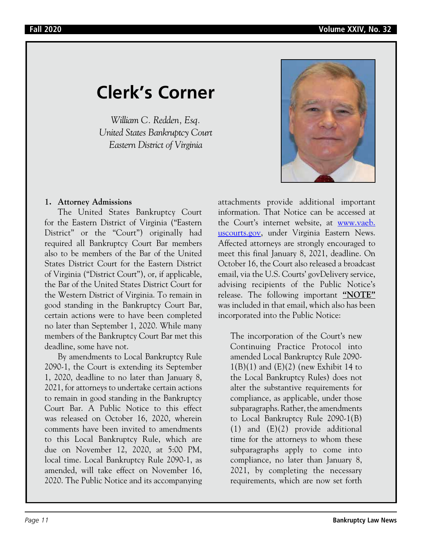# **Clerk's Corner**

*William C. Redden, Esq. United States Bankruptcy Court Eastern District of Virginia*



# **1. Attorney Admissions**

The United States Bankruptcy Court for the Eastern District of Virginia ("Eastern District" or the "Court") originally had required all Bankruptcy Court Bar members also to be members of the Bar of the United States District Court for the Eastern District of Virginia ("District Court"), or, if applicable, the Bar of the United States District Court for the Western District of Virginia. To remain in good standing in the Bankruptcy Court Bar, certain actions were to have been completed no later than September 1, 2020. While many members of the Bankruptcy Court Bar met this deadline, some have not.

By amendments to Local Bankruptcy Rule 2090-1, the Court is extending its September 1, 2020, deadline to no later than January 8, 2021, for attorneys to undertake certain actions to remain in good standing in the Bankruptcy Court Bar. A Public Notice to this effect was released on October 16, 2020, wherein comments have been invited to amendments to this Local Bankruptcy Rule, which are due on November 12, 2020, at 5:00 PM, local time. Local Bankruptcy Rule 2090-1, as amended, will take effect on November 16, 2020. The Public Notice and its accompanying attachments provide additional important information. That Notice can be accessed at the Court's internet website, at www.vaeb. uscourts.gov, under Virginia Eastern News. Affected attorneys are strongly encouraged to meet this final January 8, 2021, deadline. On October 16, the Court also released a broadcast email, via the U.S. Courts' govDelivery service, advising recipients of the Public Notice's release. The following important **"NOTE"** was included in that email, which also has been incorporated into the Public Notice:

The incorporation of the Court's new Continuing Practice Protocol into amended Local Bankruptcy Rule 2090-  $1(B)(1)$  and  $(E)(2)$  (new Exhibit 14 to the Local Bankruptcy Rules) does not alter the substantive requirements for compliance, as applicable, under those subparagraphs. Rather, the amendments to Local Bankruptcy Rule 2090-1(B) (1) and (E)(2) provide additional time for the attorneys to whom these subparagraphs apply to come into compliance, no later than January 8, 2021, by completing the necessary requirements, which are now set forth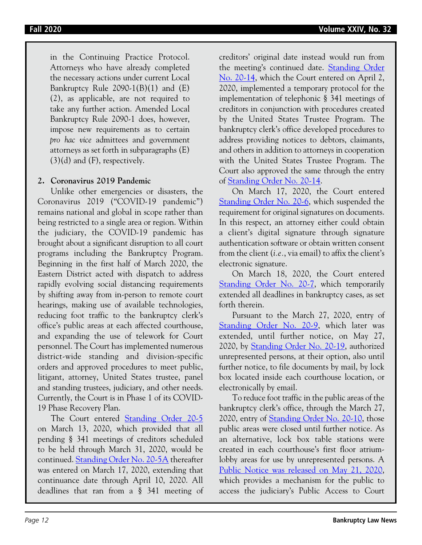in the Continuing Practice Protocol. Attorneys who have already completed the necessary actions under current Local Bankruptcy Rule  $2090-1(B)(1)$  and  $(E)$ (2), as applicable, are not required to take any further action. Amended Local Bankruptcy Rule 2090-1 does, however, impose new requirements as to certain *pro hac vice* admittees and government attorneys as set forth in subparagraphs (E)  $(3)(d)$  and  $(F)$ , respectively.

## **2. Coronavirus 2019 Pandemic**

Unlike other emergencies or disasters, the Coronavirus 2019 ("COVID-19 pandemic") remains national and global in scope rather than being restricted to a single area or region. Within the judiciary, the COVID-19 pandemic has brought about a significant disruption to all court programs including the Bankruptcy Program. Beginning in the first half of March 2020, the Eastern District acted with dispatch to address rapidly evolving social distancing requirements by shifting away from in-person to remote court hearings, making use of available technologies, reducing foot traffic to the bankruptcy clerk's office's public areas at each affected courthouse, and expanding the use of telework for Court personnel. The Court has implemented numerous district-wide standing and division-specific orders and approved procedures to meet public, litigant, attorney, United States trustee, panel and standing trustees, judiciary, and other needs. Currently, the Court is in Phase 1 of its COVID-19 Phase Recovery Plan.

The Court entered Standing Order 20-5 on March 13, 2020, which provided that all pending § 341 meetings of creditors scheduled to be held through March 31, 2020, would be continued. Standing Order No. 20-5A thereafter was entered on March 17, 2020, extending that continuance date through April 10, 2020. All deadlines that ran from a § 341 meeting of creditors' original date instead would run from the meeting's continued date. **Standing Order** No. 20-14, which the Court entered on April 2, 2020, implemented a temporary protocol for the implementation of telephonic § 341 meetings of creditors in conjunction with procedures created by the United States Trustee Program. The bankruptcy clerk's office developed procedures to address providing notices to debtors, claimants, and others in addition to attorneys in cooperation with the United States Trustee Program. The Court also approved the same through the entry of Standing Order No. 20-14.

On March 17, 2020, the Court entered Standing Order No. 20-6, which suspended the requirement for original signatures on documents. In this respect, an attorney either could obtain a client's digital signature through signature authentication software or obtain written consent from the client (*i.e.*, via email) to affix the client's electronic signature.

On March 18, 2020, the Court entered Standing Order No. 20-7, which temporarily extended all deadlines in bankruptcy cases, as set forth therein.

Pursuant to the March 27, 2020, entry of Standing Order No. 20-9, which later was extended, until further notice, on May 27, 2020, by Standing Order No. 20-19, authorized unrepresented persons, at their option, also until further notice, to file documents by mail, by lock box located inside each courthouse location, or electronically by email.

To reduce foot traffic in the public areas of the bankruptcy clerk's office, through the March 27, 2020, entry of Standing Order No. 20-10, those public areas were closed until further notice. As an alternative, lock box table stations were created in each courthouse's first floor atriumlobby areas for use by unrepresented persons. A Public Notice was released on May 21, 2020, which provides a mechanism for the public to access the judiciary's Public Access to Court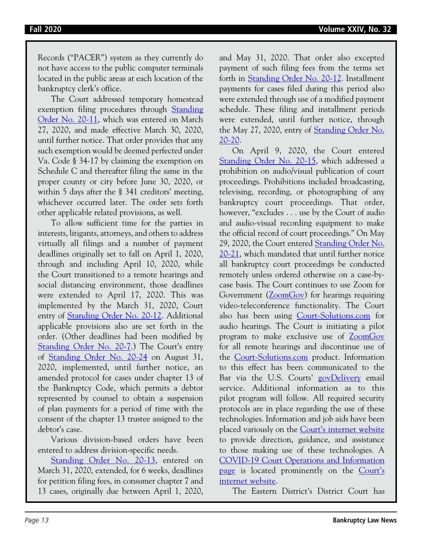Records ("PACER") system as they currently do not have access to the public computer terminals located in the public areas at each location of the bankruptcy clerk's office.

The Court addressed temporary homestead exemption filing procedures through Standing Order No. 20-11, which was entered on March 27, 2020, and made effective March 30, 2020, until further notice. That order provides that any such exemption would be deemed perfected under Va. Code § 34-17 by claiming the exemption on Schedule C and thereafter filing the same in the proper county or city before June 30, 2020, or within 5 days after the § 341 creditors' meeting, whichever occurred later. The order sets forth other applicable related provisions, as well.

To allow sufficient time for the parties in interests, litigants, attorneys, and others to address virtually all filings and a number of payment deadlines originally set to fall on April 1, 2020, through and including April 10, 2020, while the Court transitioned to a remote hearings and social distancing environment, those deadlines were extended to April 17, 2020. This was implemented by the March 31, 2020, Court entry of Standing Order No. 20-12. Additional applicable provisions also are set forth in the order. (Other deadlines had been modified by Standing Order No. 20-7.) The Court's entry of Standing Order No. 20-24 on August 31, 2020, implemented, until further notice, an amended protocol for cases under chapter 13 of the Bankruptcy Code, which permits a debtor represented by counsel to obtain a suspension of plan payments for a period of time with the consent of the chapter 13 trustee assigned to the debtor's case.

Various division-based orders have been entered to address division-specific needs.

Standing Order No. 20-13, entered on March 31, 2020, extended, for 6 weeks, deadlines for petition filing fees, in consumer chapter 7 and 13 cases, originally due between April 1, 2020, and May 31, 2020. That order also excepted payment of such filing fees from the terms set forth in Standing Order No. 20-12. Installment payments for cases filed during this period also were extended through use of a modified payment schedule. These filing and installment periods were extended, until further notice, through the May 27, 2020, entry of Standing Order No. 20-20.

On April 9, 2020, the Court entered Standing Order No. 20-15, which addressed a prohibition on audio/visual publication of court proceedings. Prohibitions included broadcasting, televising, recording, or photographing of any bankruptcy court proceedings. That order, however, "excludes . . . use by the Court of audio and audio-visual recording equipment to make the official record of court proceedings." On May 29, 2020, the Court entered Standing Order No. 20-21, which mandated that until further notice all bankruptcy court proceedings be conducted remotely unless ordered otherwise on a case-bycase basis. The Court continues to use Zoom for Government (ZoomGov) for hearings requiring video-teleconference functionality. The Court also has been using Court-Solutions.com for audio hearings. The Court is initiating a pilot program to make exclusive use of ZoomGov for all remote hearings and discontinue use of the Court-Solutions.com product. Information to this effect has been communicated to the Bar via the U.S. Courts' govDelivery email service. Additional information as to this pilot program will follow. All required security protocols are in place regarding the use of these technologies. Information and job aids have been placed variously on the Court's internet website to provide direction, guidance, and assistance to those making use of these technologies. A COVID-19 Court Operations and Information page is located prominently on the Court's internet website.

The Eastern District's District Court has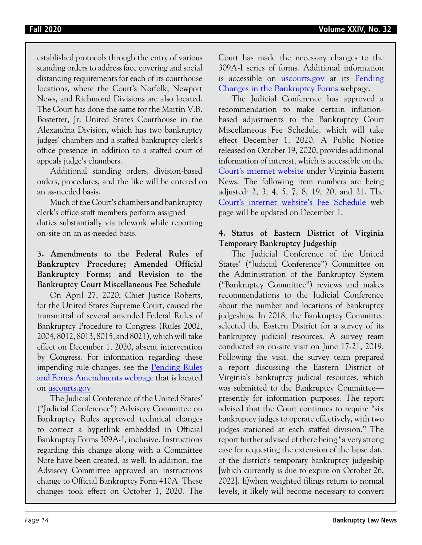established protocols through the entry of various standing orders to address face covering and social distancing requirements for each of its courthouse locations, where the Court's Norfolk, Newport News, and Richmond Divisions are also located. The Court has done the same for the Martin V.B. Bostetter, Jr. United States Courthouse in the Alexandria Division, which has two bankruptcy judges' chambers and a staffed bankruptcy clerk's office presence in addition to a staffed court of appeals judge's chambers.

Additional standing orders, division-based orders, procedures, and the like will be entered on an as-needed basis.

Much of the Court's chambers and bankruptcy clerk's office staff members perform assigned duties substantially via telework while reporting on-site on an as-needed basis.

# **3. Amendments to the Federal Rules of Bankruptcy Procedure; Amended Official Bankruptcy Forms; and Revision to the Bankruptcy Court Miscellaneous Fee Schedule**

On April 27, 2020, Chief Justice Roberts, for the United States Supreme Court, caused the transmittal of several amended Federal Rules of Bankruptcy Procedure to Congress (Rules 2002, 2004, 8012, 8013, 8015, and 8021), which will take effect on December 1, 2020, absent intervention by Congress. For information regarding these impending rule changes, see the Pending Rules and Forms Amendments webpage that is located on uscourts.gov.

The Judicial Conference of the United States' ("Judicial Conference") Advisory Committee on Bankruptcy Rules approved technical changes to correct a hyperlink embedded in Official Bankruptcy Forms 309A-I, inclusive. Instructions regarding this change along with a Committee Note have been created, as well. In addition, the Advisory Committee approved an instructions change to Official Bankruptcy Form 410A. These changes took effect on October 1, 2020. The Court has made the necessary changes to the 309A-I series of forms. Additional information is accessible on uscourts.gov at its Pending Changes in the Bankruptcy Forms webpage.

The Judicial Conference has approved a recommendation to make certain inflationbased adjustments to the Bankruptcy Court Miscellaneous Fee Schedule, which will take effect December 1, 2020. A Public Notice released on October 19, 2020, provides additional information of interest, which is accessible on the Court's internet website under Virginia Eastern News. The following item numbers are being adjusted: 2, 3, 4, 5, 7, 8, 19, 20, and 21. The Court's internet website's Fee Schedule web page will be updated on December 1.

# **4. Status of Eastern District of Virginia Temporary Bankruptcy Judgeship**

The Judicial Conference of the United States' ("Judicial Conference") Committee on the Administration of the Bankruptcy System ("Bankruptcy Committee") reviews and makes recommendations to the Judicial Conference about the number and locations of bankruptcy judgeships. In 2018, the Bankruptcy Committee selected the Eastern District for a survey of its bankruptcy judicial resources. A survey team conducted an on-site visit on June 17-21, 2019. Following the visit, the survey team prepared a report discussing the Eastern District of Virginia's bankruptcy judicial resources, which was submitted to the Bankruptcy Committee presently for information purposes. The report advised that the Court continues to require "six bankruptcy judges to operate effectively, with two judges stationed at each staffed division." The report further advised of there being "a very strong case for requesting the extension of the lapse date of the district's temporary bankruptcy judgeship [which currently is due to expire on October 26, 2022]. If/when weighted filings return to normal levels, it likely will become necessary to convert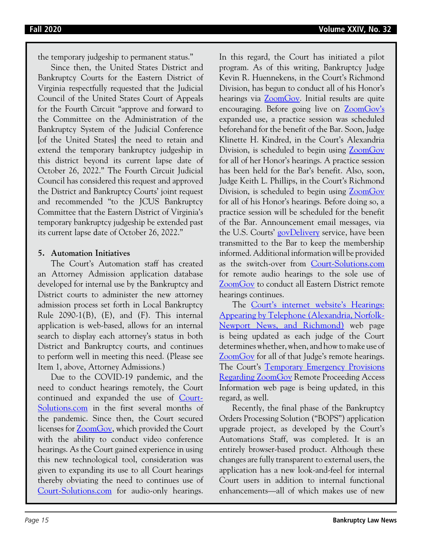the temporary judgeship to permanent status."

Since then, the United States District and Bankruptcy Courts for the Eastern District of Virginia respectfully requested that the Judicial Council of the United States Court of Appeals for the Fourth Circuit "approve and forward to the Committee on the Administration of the Bankruptcy System of the Judicial Conference [of the United States] the need to retain and extend the temporary bankruptcy judgeship in this district beyond its current lapse date of October 26, 2022." The Fourth Circuit Judicial Council has considered this request and approved the District and Bankruptcy Courts' joint request and recommended "to the JCUS Bankruptcy Committee that the Eastern District of Virginia's temporary bankruptcy judgeship be extended past its current lapse date of October 26, 2022."

# **5. Automation Initiatives**

The Court's Automation staff has created an Attorney Admission application database developed for internal use by the Bankruptcy and District courts to administer the new attorney admission process set forth in Local Bankruptcy Rule  $2090-1(B)$ ,  $(E)$ , and  $(F)$ . This internal application is web-based, allows for an internal search to display each attorney's status in both District and Bankruptcy courts, and continues to perform well in meeting this need. (Please see Item 1, above, Attorney Admissions.)

Due to the COVID-19 pandemic, and the need to conduct hearings remotely, the Court continued and expanded the use of Court-Solutions.com in the first several months of the pandemic. Since then, the Court secured licenses for ZoomGov, which provided the Court with the ability to conduct video conference hearings. As the Court gained experience in using this new technological tool, consideration was given to expanding its use to all Court hearings thereby obviating the need to continues use of Court-Solutions.com for audio-only hearings.

In this regard, the Court has initiated a pilot program. As of this writing, Bankruptcy Judge Kevin R. Huennekens, in the Court's Richmond Division, has begun to conduct all of his Honor's hearings via **ZoomGov**. Initial results are quite encouraging. Before going live on ZoomGov's expanded use, a practice session was scheduled beforehand for the benefit of the Bar. Soon, Judge Klinette H. Kindred, in the Court's Alexandria Division, is scheduled to begin using ZoomGov for all of her Honor's hearings. A practice session has been held for the Bar's benefit. Also, soon, Judge Keith L. Phillips, in the Court's Richmond Division, is scheduled to begin using ZoomGov for all of his Honor's hearings. Before doing so, a practice session will be scheduled for the benefit of the Bar. Announcement email messages, via the U.S. Courts' govDelivery service, have been transmitted to the Bar to keep the membership informed. Additional information will be provided as the switch-over from Court-Solutions.com for remote audio hearings to the sole use of ZoomGov to conduct all Eastern District remote hearings continues.

The Court's internet website's Hearings: Appearing by Telephone (Alexandria, Norfolk-Newport News, and Richmond) web page is being updated as each judge of the Court determines whether, when, and how to make use of ZoomGov for all of that Judge's remote hearings. The Court's Temporary Emergency Provisions Regarding ZoomGov Remote Proceeding Access Information web page is being updated, in this regard, as well.

Recently, the final phase of the Bankruptcy Orders Processing Solution ("BOPS") application upgrade project, as developed by the Court's Automations Staff, was completed. It is an entirely browser-based product. Although these changes are fully transparent to external users, the application has a new look-and-feel for internal Court users in addition to internal functional enhancements—all of which makes use of new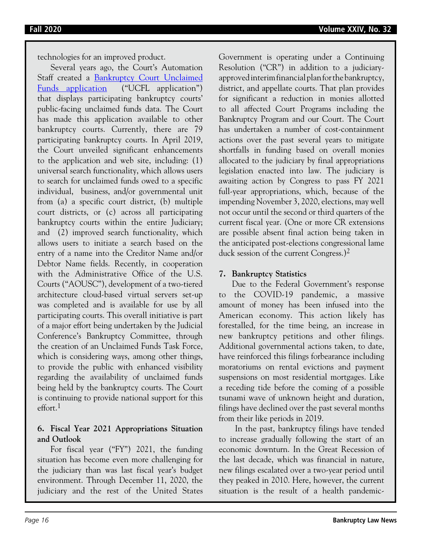technologies for an improved product.

Several years ago, the Court's Automation Staff created a Bankruptcy Court Unclaimed Funds application ("UCFL application") that displays participating bankruptcy courts' public-facing unclaimed funds data. The Court has made this application available to other bankruptcy courts. Currently, there are 79 participating bankruptcy courts. In April 2019, the Court unveiled significant enhancements to the application and web site, including: (1) universal search functionality, which allows users to search for unclaimed funds owed to a specific individual, business, and/or governmental unit from (a) a specific court district, (b) multiple court districts, or (c) across all participating bankruptcy courts within the entire Judiciary; and (2) improved search functionality, which allows users to initiate a search based on the entry of a name into the Creditor Name and/or Debtor Name fields. Recently, in cooperation with the Administrative Office of the U.S. Courts ("AOUSC"), development of a two-tiered architecture cloud-based virtual servers set-up was completed and is available for use by all participating courts. This overall initiative is part of a major effort being undertaken by the Judicial Conference's Bankruptcy Committee, through the creation of an Unclaimed Funds Task Force, which is considering ways, among other things, to provide the public with enhanced visibility regarding the availability of unclaimed funds being held by the bankruptcy courts. The Court is continuing to provide national support for this effort.<sup>1</sup>

# **6. Fiscal Year 2021 Appropriations Situation and Outlook**

For fiscal year ("FY") 2021, the funding situation has become even more challenging for the judiciary than was last fiscal year's budget environment. Through December 11, 2020, the judiciary and the rest of the United States Government is operating under a Continuing Resolution ("CR") in addition to a judiciaryapproved interim financial plan for the bankruptcy, district, and appellate courts. That plan provides for significant a reduction in monies allotted to all affected Court Programs including the Bankruptcy Program and our Court. The Court has undertaken a number of cost-containment actions over the past several years to mitigate shortfalls in funding based on overall monies allocated to the judiciary by final appropriations legislation enacted into law. The judiciary is awaiting action by Congress to pass FY 2021 full-year appropriations, which, because of the impending November 3, 2020, elections, may well not occur until the second or third quarters of the current fiscal year. (One or more CR extensions are possible absent final action being taken in the anticipated post-elections congressional lame duck session of the current Congress.)<sup>2</sup>

# **7. Bankruptcy Statistics**

Due to the Federal Government's response to the COVID-19 pandemic, a massive amount of money has been infused into the American economy. This action likely has forestalled, for the time being, an increase in new bankruptcy petitions and other filings. Additional governmental actions taken, to date, have reinforced this filings forbearance including moratoriums on rental evictions and payment suspensions on most residential mortgages. Like a receding tide before the coming of a possible tsunami wave of unknown height and duration, filings have declined over the past several months from their like periods in 2019.

 In the past, bankruptcy filings have tended to increase gradually following the start of an economic downturn. In the Great Recession of the last decade, which was financial in nature, new filings escalated over a two-year period until they peaked in 2010. Here, however, the current situation is the result of a health pandemic-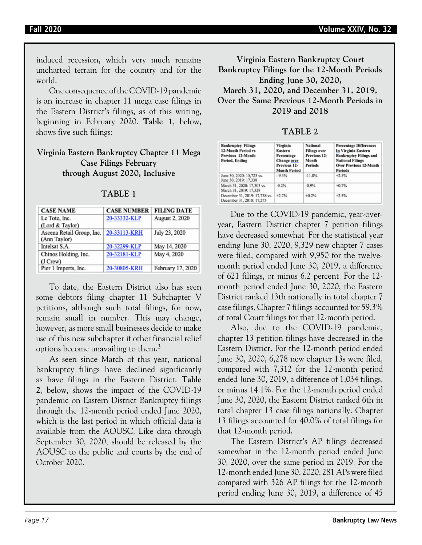induced recession, which very much remains uncharted terrain for the country and for the world.

One consequence of the COVID-19 pandemic is an increase in chapter 11 mega case filings in the Eastern District's filings, as of this writing, beginning in February 2020. **Table 1**, below, shows five such filings:

## **Virginia Eastern Bankruptcy Chapter 11 Mega Case Filings February through August 2020, Inclusive**

| <b>CASE NAME</b>          | <b>CASE NUMBER</b> | <b>FILING DATE</b> |
|---------------------------|--------------------|--------------------|
| Le Tote, Inc.             | 20-33332-KLP       | August 2, 2020     |
| (Lord & Taylor)           |                    |                    |
| Ascena Retail Group, Inc. | 20-33113-KRH       | July 23, 2020      |
| (Ann Taylor)              |                    |                    |
| Intelsat S.A.             | 20-32299-KLP       | May 14, 2020       |
| Chinos Holding, Inc.      | 20-32181-KLP       | May 4, 2020        |
| (J Crew)                  |                    |                    |
| Pier 1 Imports, Inc.      | 20-30805-KRH       | February 17, 2020  |

**TABLE 1**

To date, the Eastern District also has seen some debtors filing chapter 11 Subchapter V petitions, although such total filings, for now, remain small in number. This may change, however, as more small businesses decide to make use of this new subchapter if other financial relief options become unavailing to them.3

As seen since March of this year, national bankruptcy filings have declined significantly as have filings in the Eastern District. **Table 2**, below, shows the impact of the COVID-19 pandemic on Eastern District Bankruptcy filings through the 12-month period ended June 2020, which is the last period in which official data is available from the AOUSC. Like data through September 30, 2020, should be released by the AOUSC to the public and courts by the end of October 2020.

**Virginia Eastern Bankruptcy Court Bankruptcy Filings for the 12-Month Periods Ending June 30, 2020, March 31, 2020, and December 31, 2019, Over the Same Previous 12-Month Periods in 2019 and 2018**

| <b>Bankruptcy Filings</b><br>12-Month Period vs<br>Previous 12-Month<br>Period, Ending | Virginia<br>Eastern<br>Percentage<br>Change over<br>Previous 12-<br><b>Month Period</b> | <b>National</b><br><b>Filings over</b><br>Previous 12-<br>Month<br><b>Periods</b> | <b>Percentage Differences</b><br>In Virginia Eastern<br><b>Bankruptcy Filings and</b><br><b>National Filings</b><br><b>Over Previous 12-Month</b><br><b>Periods</b> |
|----------------------------------------------------------------------------------------|-----------------------------------------------------------------------------------------|-----------------------------------------------------------------------------------|---------------------------------------------------------------------------------------------------------------------------------------------------------------------|
| June 30, 2020: 15,723 vs.<br>June 30, 2019: 17,338                                     | $-9.3%$                                                                                 | $-11.8%$                                                                          | $+2.5%$                                                                                                                                                             |
| March 31, 2020: 17,303 vs.<br>March 31, 2019: 17,329                                   | $-0.2%$                                                                                 | $-0.9%$                                                                           | $+0.7%$                                                                                                                                                             |
| December 31, 2019: 17,738 vs.<br>December 31, 2018: 17,275                             | $+2.7%$                                                                                 | $+0.2%$                                                                           | $+2.5%$                                                                                                                                                             |

**TABLE 2**

Due to the COVID-19 pandemic, year-overyear, Eastern District chapter 7 petition filings have decreased somewhat. For the statistical year ending June 30, 2020, 9,329 new chapter 7 cases were filed, compared with 9,950 for the twelvemonth period ended June 30, 2019, a difference of 621 filings, or minus 6.2 percent. For the 12 month period ended June 30, 2020, the Eastern District ranked 13th nationally in total chapter 7 case filings. Chapter 7 filings accounted for 59.3% of total Court filings for that 12-month period.

Also, due to the COVID-19 pandemic, chapter 13 petition filings have decreased in the Eastern District. For the 12-month period ended June 30, 2020, 6,278 new chapter 13s were filed, compared with 7,312 for the 12-month period ended June 30, 2019, a difference of 1,034 filings, or minus 14.1%. For the 12-month period ended June 30, 2020, the Eastern District ranked 6th in total chapter 13 case filings nationally. Chapter 13 filings accounted for 40.0% of total filings for that 12-month period.

The Eastern District's AP filings decreased somewhat in the 12-month period ended June 30, 2020, over the same period in 2019. For the 12-month ended June 30, 2020, 281 APs were filed compared with 326 AP filings for the 12-month period ending June 30, 2019, a difference of 45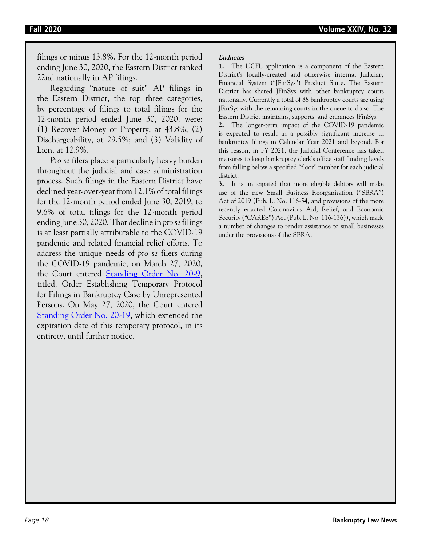filings or minus 13.8%. For the 12-month period ending June 30, 2020, the Eastern District ranked 22nd nationally in AP filings.

Regarding "nature of suit" AP filings in the Eastern District, the top three categories, by percentage of filings to total filings for the 12-month period ended June 30, 2020, were: (1) Recover Money or Property, at 43.8%; (2) Dischargeability, at 29.5%; and (3) Validity of Lien, at 12.9%.

*Pro se* filers place a particularly heavy burden throughout the judicial and case administration process. Such filings in the Eastern District have declined year-over-year from 12.1% of total filings for the 12-month period ended June 30, 2019, to 9.6% of total filings for the 12-month period ending June 30, 2020. That decline in *pro se* filings is at least partially attributable to the COVID-19 pandemic and related financial relief efforts. To address the unique needs of *pro se* filers during the COVID-19 pandemic, on March 27, 2020, the Court entered Standing Order No. 20-9, titled, Order Establishing Temporary Protocol for Filings in Bankruptcy Case by Unrepresented Persons. On May 27, 2020, the Court entered Standing Order No. 20-19, which extended the expiration date of this temporary protocol, in its entirety, until further notice.

### **Endnotes**

**1.** The UCFL application is a component of the Eastern District's locally-created and otherwise internal Judiciary Financial System ("JFinSys") Product Suite. The Eastern District has shared JFinSys with other bankruptcy courts nationally. Currently a total of 88 bankruptcy courts are using JFinSys with the remaining courts in the queue to do so. The Eastern District maintains, supports, and enhances JFinSys.

**2.** The longer-term impact of the COVID-19 pandemic is expected to result in a possibly significant increase in bankruptcy filings in Calendar Year 2021 and beyond. For this reason, in FY 2021, the Judicial Conference has taken measures to keep bankruptcy clerk's office staff funding levels from falling below a specified "floor" number for each judicial district.

**3.** It is anticipated that more eligible debtors will make use of the new Small Business Reorganization ("SBRA") Act of 2019 (Pub. L. No. 116-54, and provisions of the more recently enacted Coronavirus Aid, Relief, and Economic Security ("CARES") Act (Pub. L. No. 116-136)), which made a number of changes to render assistance to small businesses under the provisions of the SBRA.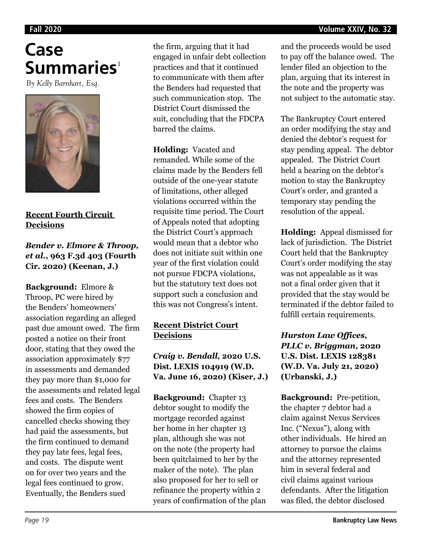### **Fall 2020 Volume XXIV, No. 32**

# **Case Summaries**<sup>1</sup>

*By Kelly Barnhart, Esq.*



# **Recent Fourth Circuit Decisions**

# *Bender v. Elmore & Throop, et al.***, 963 F.3d 403 (Fourth Cir. 2020) (Keenan, J.)**

**Background:** Elmore & Throop, PC were hired by the Benders' homeowners' association regarding an alleged past due amount owed. The firm posted a notice on their front door, stating that they owed the association approximately \$77 in assessments and demanded they pay more than \$1,000 for the assessments and related legal fees and costs. The Benders showed the firm copies of cancelled checks showing they had paid the assessments, but the firm continued to demand they pay late fees, legal fees, and costs. The dispute went on for over two years and the legal fees continued to grow. Eventually, the Benders sued

the firm, arguing that it had engaged in unfair debt collection practices and that it continued to communicate with them after the Benders had requested that such communication stop. The District Court dismissed the suit, concluding that the FDCPA barred the claims.

**Holding:** Vacated and remanded. While some of the claims made by the Benders fell outside of the one-year statute of limitations, other alleged violations occurred within the requisite time period. The Court of Appeals noted that adopting the District Court's approach would mean that a debtor who does not initiate suit within one year of the first violation could not pursue FDCPA violations, but the statutory text does not support such a conclusion and this was not Congress's intent.

# **Recent District Court Decisions**

# *Craig v. Bendall***, 2020 U.S. Dist. LEXIS 104919 (W.D. Va. June 16, 2020) (Kiser, J.)**

**Background:** Chapter 13 debtor sought to modify the mortgage recorded against her home in her chapter 13 plan, although she was not on the note (the property had been quitclaimed to her by the maker of the note). The plan also proposed for her to sell or refinance the property within 2 years of confirmation of the plan

and the proceeds would be used to pay off the balance owed. The lender filed an objection to the plan, arguing that its interest in the note and the property was not subject to the automatic stay.

The Bankruptcy Court entered an order modifying the stay and denied the debtor's request for stay pending appeal. The debtor appealed. The District Court held a hearing on the debtor's motion to stay the Bankruptcy Court's order, and granted a temporary stay pending the resolution of the appeal.

**Holding:** Appeal dismissed for lack of jurisdiction. The District Court held that the Bankruptcy Court's order modifying the stay was not appealable as it was not a final order given that it provided that the stay would be terminated if the debtor failed to fulfill certain requirements.

# *Hurston Law Offices, PLLC v. Briggman***, 2020 U.S. Dist. LEXIS 128381 (W.D. Va. July 21, 2020) (Urbanski, J.)**

**Background:** Pre-petition, the chapter 7 debtor had a claim against Nexus Services Inc. ("Nexus"), along with other individuals. He hired an attorney to pursue the claims and the attorney represented him in several federal and civil claims against various defendants. After the litigation was filed, the debtor disclosed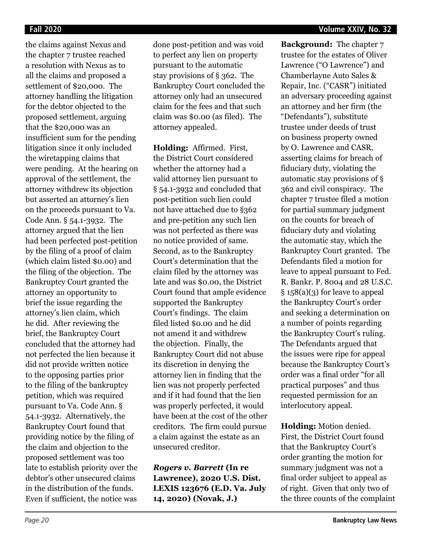the claims against Nexus and the chapter 7 trustee reached a resolution with Nexus as to all the claims and proposed a settlement of \$20,000. The attorney handling the litigation for the debtor objected to the proposed settlement, arguing that the \$20,000 was an insufficient sum for the pending litigation since it only included the wiretapping claims that were pending. At the hearing on approval of the settlement, the attorney withdrew its objection but asserted an attorney's lien on the proceeds pursuant to Va. Code Ann. § 54.1-3932. The attorney argued that the lien had been perfected post-petition by the filing of a proof of claim (which claim listed \$0.00) and the filing of the objection. The Bankruptcy Court granted the attorney an opportunity to brief the issue regarding the attorney's lien claim, which he did. After reviewing the brief, the Bankruptcy Court concluded that the attorney had not perfected the lien because it did not provide written notice to the opposing parties prior to the filing of the bankruptcy petition, which was required pursuant to Va. Code Ann. § 54.1-3932. Alternatively, the Bankruptcy Court found that providing notice by the filing of the claim and objection to the proposed settlement was too late to establish priority over the debtor's other unsecured claims in the distribution of the funds. Even if sufficient, the notice was

done post-petition and was void to perfect any lien on property pursuant to the automatic stay provisions of § 362. The Bankruptcy Court concluded the attorney only had an unsecured claim for the fees and that such claim was \$0.00 (as filed). The attorney appealed.

**Holding:** Affirmed. First, the District Court considered whether the attorney had a valid attorney lien pursuant to § 54.1-3932 and concluded that post-petition such lien could not have attached due to §362 and pre-petition any such lien was not perfected as there was no notice provided of same. Second, as to the Bankruptcy Court's determination that the claim filed by the attorney was late and was \$0.00, the District Court found that ample evidence supported the Bankruptcy Court's findings. The claim filed listed \$0.00 and he did not amend it and withdrew the objection. Finally, the Bankruptcy Court did not abuse its discretion in denying the attorney lien in finding that the lien was not properly perfected and if it had found that the lien was properly perfected, it would have been at the cost of the other creditors. The firm could pursue a claim against the estate as an unsecured creditor.

*Rogers v. Barrett* **(In re Lawrence), 2020 U.S. Dist. LEXIS 123676 (E.D. Va. July 14, 2020) (Novak, J.)**

**Background:** The chapter 7 trustee for the estates of Oliver Lawrence ("O Lawrence") and Chamberlayne Auto Sales & Repair, Inc. ("CASR") initiated an adversary proceeding against an attorney and her firm (the "Defendants"), substitute trustee under deeds of trust on business property owned by O. Lawrence and CASR, asserting claims for breach of fiduciary duty, violating the automatic stay provisions of § 362 and civil conspiracy. The chapter 7 trustee filed a motion for partial summary judgment on the counts for breach of fiduciary duty and violating the automatic stay, which the Bankruptcy Court granted. The Defendants filed a motion for leave to appeal pursuant to Fed. R. Bankr. P. 8004 and 28 U.S.C. § 158(a)(3) for leave to appeal the Bankruptcy Court's order and seeking a determination on a number of points regarding the Bankruptcy Court's ruling. The Defendants argued that the issues were ripe for appeal because the Bankruptcy Court's order was a final order "for all practical purposes" and thus requested permission for an interlocutory appeal.

**Holding:** Motion denied. First, the District Court found that the Bankruptcy Court's order granting the motion for summary judgment was not a final order subject to appeal as of right. Given that only two of the three counts of the complaint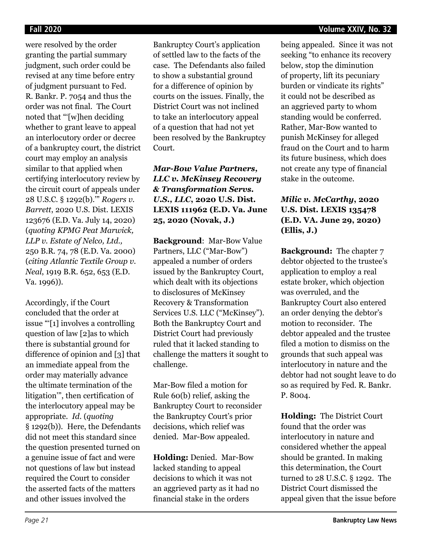were resolved by the order granting the partial summary judgment, such order could be revised at any time before entry of judgment pursuant to Fed. R. Bankr. P. 7054 and thus the order was not final. The Court noted that "'[w]hen deciding whether to grant leave to appeal an interlocutory order or decree of a bankruptcy court, the district court may employ an analysis similar to that applied when certifying interlocutory review by the circuit court of appeals under 28 U.S.C. § 1292(b).'" *Rogers v. Barrett*, 2020 U.S. Dist. LEXIS 123676 (E.D. Va. July 14, 2020) (*quoting KPMG Peat Marwick, LLP v. Estate of Nelco, Ltd.,* 250 B.R. 74, 78 (E.D. Va. 2000) (*citing Atlantic Textile Group v. Neal*, 1919 B.R. 652, 653 (E.D. Va. 1996)).

Accordingly, if the Court concluded that the order at issue "'[1] involves a controlling question of law [2]as to which there is substantial ground for difference of opinion and [3] that an immediate appeal from the order may materially advance the ultimate termination of the litigation'", then certification of the interlocutory appeal may be appropriate. *Id.* (*quoting* § 1292(b)). Here, the Defendants did not meet this standard since the question presented turned on a genuine issue of fact and were not questions of law but instead required the Court to consider the asserted facts of the matters and other issues involved the

Bankruptcy Court's application of settled law to the facts of the case. The Defendants also failed to show a substantial ground for a difference of opinion by courts on the issues. Finally, the District Court was not inclined to take an interlocutory appeal of a question that had not yet been resolved by the Bankruptcy Court.

# *Mar-Bow Value Partners, LLC v. McKinsey Recovery & Transformation Servs. U.S., LLC***, 2020 U.S. Dist. LEXIS 111962 (E.D. Va. June 25, 2020 (Novak, J.)**

**Background**: Mar-Bow Value Partners, LLC ("Mar-Bow") appealed a number of orders issued by the Bankruptcy Court, which dealt with its objections to disclosures of McKinsey Recovery & Transformation Services U.S. LLC ("McKinsey"). Both the Bankruptcy Court and District Court had previously ruled that it lacked standing to challenge the matters it sought to challenge.

Mar-Bow filed a motion for Rule 60(b) relief, asking the Bankruptcy Court to reconsider the Bankruptcy Court's prior decisions, which relief was denied. Mar-Bow appealed.

**Holding:** Denied. Mar-Bow lacked standing to appeal decisions to which it was not an aggrieved party as it had no financial stake in the orders

being appealed. Since it was not seeking "to enhance its recovery below, stop the diminution of property, lift its pecuniary burden or vindicate its rights" it could not be described as an aggrieved party to whom standing would be conferred. Rather, Mar-Bow wanted to punish McKinsey for alleged fraud on the Court and to harm its future business, which does not create any type of financial stake in the outcome.

# *Milic v. McCarthy***, 2020 U.S. Dist. LEXIS 135478 (E.D. VA. June 29, 2020) (Ellis, J.)**

**Background:** The chapter 7 debtor objected to the trustee's application to employ a real estate broker, which objection was overruled, and the Bankruptcy Court also entered an order denying the debtor's motion to reconsider. The debtor appealed and the trustee filed a motion to dismiss on the grounds that such appeal was interlocutory in nature and the debtor had not sought leave to do so as required by Fed. R. Bankr. P. 8004.

**Holding:** The District Court found that the order was interlocutory in nature and considered whether the appeal should be granted. In making this determination, the Court turned to 28 U.S.C. § 1292. The District Court dismissed the appeal given that the issue before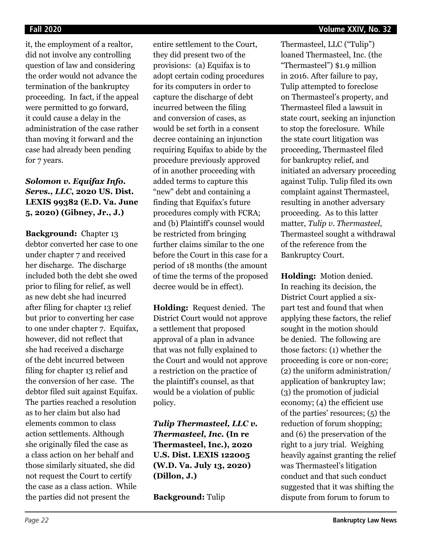it, the employment of a realtor, did not involve any controlling question of law and considering the order would not advance the termination of the bankruptcy proceeding. In fact, if the appeal were permitted to go forward, it could cause a delay in the administration of the case rather than moving it forward and the case had already been pending for 7 years.

# *Solomon v. Equifax Info. Servs., LLC***, 2020 US. Dist. LEXIS 99382 (E.D. Va. June 5, 2020) (Gibney, Jr., J.)**

**Background:** Chapter 13 debtor converted her case to one under chapter 7 and received her discharge. The discharge included both the debt she owed prior to filing for relief, as well as new debt she had incurred after filing for chapter 13 relief but prior to converting her case to one under chapter 7. Equifax, however, did not reflect that she had received a discharge of the debt incurred between filing for chapter 13 relief and the conversion of her case. The debtor filed suit against Equifax. The parties reached a resolution as to her claim but also had elements common to class action settlements. Although she originally filed the case as a class action on her behalf and those similarly situated, she did not request the Court to certify the case as a class action. While the parties did not present the

entire settlement to the Court, they did present two of the provisions: (a) Equifax is to adopt certain coding procedures for its computers in order to capture the discharge of debt incurred between the filing and conversion of cases, as would be set forth in a consent decree containing an injunction requiring Equifax to abide by the procedure previously approved of in another proceeding with added terms to capture this "new" debt and containing a finding that Equifax's future procedures comply with FCRA; and (b) Plaintiff's counsel would be restricted from bringing further claims similar to the one before the Court in this case for a period of 18 months (the amount of time the terms of the proposed decree would be in effect).

**Holding:** Request denied. The District Court would not approve a settlement that proposed approval of a plan in advance that was not fully explained to the Court and would not approve a restriction on the practice of the plaintiff's counsel, as that would be a violation of public policy.

*Tulip Thermasteel, LLC v. Thermasteel, Inc.* **(In re Thermasteel, Inc.), 2020 U.S. Dist. LEXIS 122005 (W.D. Va. July 13, 2020) (Dillon, J.)**

**Background:** Tulip

Thermasteel, LLC ("Tulip") loaned Thermasteel, Inc. (the "Thermasteel") \$1.9 million in 2016. After failure to pay, Tulip attempted to foreclose on Thermasteel's property, and Thermasteel filed a lawsuit in state court, seeking an injunction to stop the foreclosure. While the state court litigation was proceeding, Thermasteel filed for bankruptcy relief, and initiated an adversary proceeding against Tulip. Tulip filed its own complaint against Thermasteel, resulting in another adversary proceeding. As to this latter matter, *Tulip v. Thermasteel*, Thermasteel sought a withdrawal of the reference from the Bankruptcy Court.

**Holding:** Motion denied. In reaching its decision, the District Court applied a sixpart test and found that when applying these factors, the relief sought in the motion should be denied. The following are those factors: (1) whether the proceeding is core or non-core; (2) the uniform administration/ application of bankruptcy law; (3) the promotion of judicial economy; (4) the efficient use of the parties' resources; (5) the reduction of forum shopping; and (6) the preservation of the right to a jury trial. Weighing heavily against granting the relief was Thermasteel's litigation conduct and that such conduct suggested that it was shifting the dispute from forum to forum to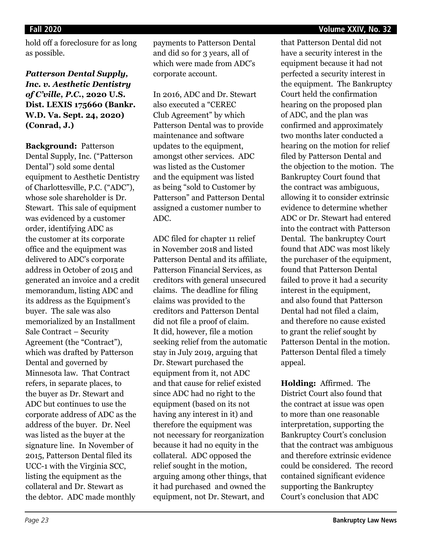### **Fall 2020 Volume XXIV, No. 32**

hold off a foreclosure for as long as possible.

*Patterson Dental Supply, Inc. v. Aesthetic Dentistry of C'ville, P.C.***, 2020 U.S. Dist. LEXIS 175660 (Bankr. W.D. Va. Sept. 24, 2020) (Conrad, J.)**

**Background:** Patterson Dental Supply, Inc. ("Patterson Dental") sold some dental equipment to Aesthetic Dentistry of Charlottesville, P.C. ("ADC"), whose sole shareholder is Dr. Stewart. This sale of equipment was evidenced by a customer order, identifying ADC as the customer at its corporate office and the equipment was delivered to ADC's corporate address in October of 2015 and generated an invoice and a credit memorandum, listing ADC and its address as the Equipment's buyer. The sale was also memorialized by an Installment Sale Contract – Security Agreement (the "Contract"), which was drafted by Patterson Dental and governed by Minnesota law. That Contract refers, in separate places, to the buyer as Dr. Stewart and ADC but continues to use the corporate address of ADC as the address of the buyer. Dr. Neel was listed as the buyer at the signature line. In November of 2015, Patterson Dental filed its UCC-1 with the Virginia SCC, listing the equipment as the collateral and Dr. Stewart as the debtor. ADC made monthly

payments to Patterson Dental and did so for 3 years, all of which were made from ADC's corporate account.

In 2016, ADC and Dr. Stewart also executed a "CEREC Club Agreement" by which Patterson Dental was to provide maintenance and software updates to the equipment, amongst other services. ADC was listed as the Customer and the equipment was listed as being "sold to Customer by Patterson" and Patterson Dental assigned a customer number to ADC.

ADC filed for chapter 11 relief in November 2018 and listed Patterson Dental and its affiliate, Patterson Financial Services, as creditors with general unsecured claims. The deadline for filing claims was provided to the creditors and Patterson Dental did not file a proof of claim. It did, however, file a motion seeking relief from the automatic stay in July 2019, arguing that Dr. Stewart purchased the equipment from it, not ADC and that cause for relief existed since ADC had no right to the equipment (based on its not having any interest in it) and therefore the equipment was not necessary for reorganization because it had no equity in the collateral. ADC opposed the relief sought in the motion, arguing among other things, that it had purchased and owned the equipment, not Dr. Stewart, and

that Patterson Dental did not have a security interest in the equipment because it had not perfected a security interest in the equipment. The Bankruptcy Court held the confirmation hearing on the proposed plan of ADC, and the plan was confirmed and approximately two months later conducted a hearing on the motion for relief filed by Patterson Dental and the objection to the motion. The Bankruptcy Court found that the contract was ambiguous, allowing it to consider extrinsic evidence to determine whether ADC or Dr. Stewart had entered into the contract with Patterson Dental. The bankruptcy Court found that ADC was most likely the purchaser of the equipment, found that Patterson Dental failed to prove it had a security interest in the equipment, and also found that Patterson Dental had not filed a claim, and therefore no cause existed to grant the relief sought by Patterson Dental in the motion. Patterson Dental filed a timely appeal.

**Holding:** Affirmed. The District Court also found that the contract at issue was open to more than one reasonable interpretation, supporting the Bankruptcy Court's conclusion that the contract was ambiguous and therefore extrinsic evidence could be considered. The record contained significant evidence supporting the Bankruptcy Court's conclusion that ADC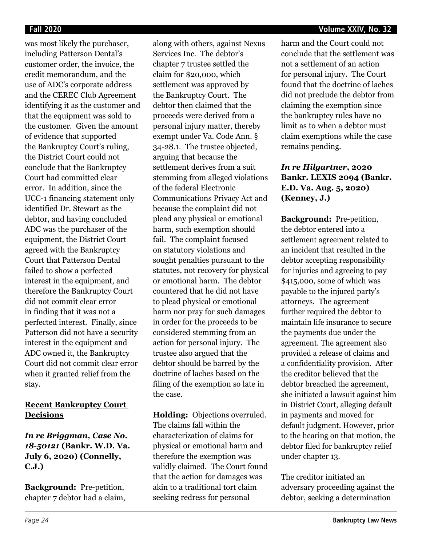was most likely the purchaser, including Patterson Dental's customer order, the invoice, the credit memorandum, and the use of ADC's corporate address and the CEREC Club Agreement identifying it as the customer and that the equipment was sold to the customer. Given the amount of evidence that supported the Bankruptcy Court's ruling, the District Court could not conclude that the Bankruptcy Court had committed clear error. In addition, since the UCC-1 financing statement only identified Dr. Stewart as the debtor, and having concluded ADC was the purchaser of the equipment, the District Court agreed with the Bankruptcy Court that Patterson Dental failed to show a perfected interest in the equipment, and therefore the Bankruptcy Court did not commit clear error in finding that it was not a perfected interest. Finally, since Patterson did not have a security interest in the equipment and ADC owned it, the Bankruptcy Court did not commit clear error when it granted relief from the stay.

## **Recent Bankruptcy Court Decisions**

*In re Briggman, Case No. 18-50121* **(Bankr. W.D. Va. July 6, 2020) (Connelly, C.J.)**

**Background:** Pre-petition, chapter 7 debtor had a claim,

along with others, against Nexus Services Inc. The debtor's chapter 7 trustee settled the claim for \$20,000, which settlement was approved by the Bankruptcy Court. The debtor then claimed that the proceeds were derived from a personal injury matter, thereby exempt under Va. Code Ann. § 34-28.1. The trustee objected, arguing that because the settlement derives from a suit stemming from alleged violations of the federal Electronic Communications Privacy Act and because the complaint did not plead any physical or emotional harm, such exemption should fail. The complaint focused on statutory violations and sought penalties pursuant to the statutes, not recovery for physical or emotional harm. The debtor countered that he did not have to plead physical or emotional harm nor pray for such damages in order for the proceeds to be considered stemming from an action for personal injury. The trustee also argued that the debtor should be barred by the doctrine of laches based on the filing of the exemption so late in the case.

**Holding:** Objections overruled. The claims fall within the characterization of claims for physical or emotional harm and therefore the exemption was validly claimed. The Court found that the action for damages was akin to a traditional tort claim seeking redress for personal

### **Fall 2020 Volume XXIV, No. 32**

harm and the Court could not conclude that the settlement was not a settlement of an action for personal injury. The Court found that the doctrine of laches did not preclude the debtor from claiming the exemption since the bankruptcy rules have no limit as to when a debtor must claim exemptions while the case remains pending.

# *In re Hilgartner***, 2020 Bankr. LEXIS 2094 (Bankr. E.D. Va. Aug. 5, 2020) (Kenney, J.)**

**Background:** Pre-petition, the debtor entered into a settlement agreement related to an incident that resulted in the debtor accepting responsibility for injuries and agreeing to pay \$415,000, some of which was payable to the injured party's attorneys. The agreement further required the debtor to maintain life insurance to secure the payments due under the agreement. The agreement also provided a release of claims and a confidentiality provision. After the creditor believed that the debtor breached the agreement, she initiated a lawsuit against him in District Court, alleging default in payments and moved for default judgment. However, prior to the hearing on that motion, the debtor filed for bankruptcy relief under chapter 13.

The creditor initiated an adversary proceeding against the debtor, seeking a determination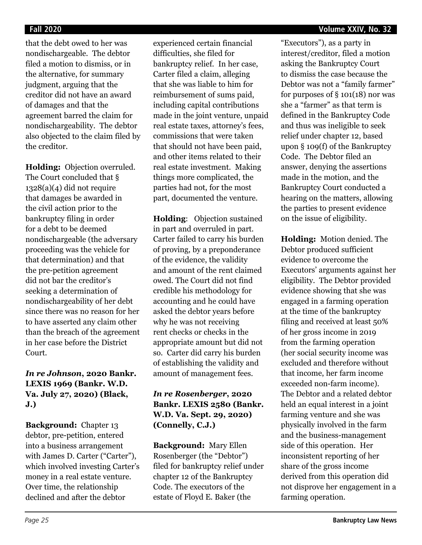### **Fall 2020 Volume XXIV, No. 32**

that the debt owed to her was nondischargeable. The debtor filed a motion to dismiss, or in the alternative, for summary judgment, arguing that the creditor did not have an award of damages and that the agreement barred the claim for nondischargeability. The debtor also objected to the claim filed by the creditor.

**Holding:** Objection overruled. The Court concluded that  $\S$  $1328(a)(4)$  did not require that damages be awarded in the civil action prior to the bankruptcy filing in order for a debt to be deemed nondischargeable (the adversary proceeding was the vehicle for that determination) and that the pre-petition agreement did not bar the creditor's seeking a determination of nondischargeability of her debt since there was no reason for her to have asserted any claim other than the breach of the agreement in her case before the District Court.

# *In re Johnson***, 2020 Bankr. LEXIS 1969 (Bankr. W.D. Va. July 27, 2020) (Black, J.)**

**Background:** Chapter 13 debtor, pre-petition, entered into a business arrangement with James D. Carter ("Carter"), which involved investing Carter's money in a real estate venture. Over time, the relationship declined and after the debtor

experienced certain financial difficulties, she filed for bankruptcy relief. In her case, Carter filed a claim, alleging that she was liable to him for reimbursement of sums paid, including capital contributions made in the joint venture, unpaid real estate taxes, attorney's fees, commissions that were taken that should not have been paid, and other items related to their real estate investment. Making things more complicated, the parties had not, for the most part, documented the venture.

**Holding**: Objection sustained in part and overruled in part. Carter failed to carry his burden of proving, by a preponderance of the evidence, the validity and amount of the rent claimed owed. The Court did not find credible his methodology for accounting and he could have asked the debtor years before why he was not receiving rent checks or checks in the appropriate amount but did not so. Carter did carry his burden of establishing the validity and amount of management fees.

*In re Rosenberger***, 2020 Bankr. LEXIS 2580 (Bankr. W.D. Va. Sept. 29, 2020) (Connelly, C.J.)**

**Background:** Mary Ellen Rosenberger (the "Debtor") filed for bankruptcy relief under chapter 12 of the Bankruptcy Code. The executors of the estate of Floyd E. Baker (the

"Executors"), as a party in interest/creditor, filed a motion asking the Bankruptcy Court to dismiss the case because the Debtor was not a "family farmer" for purposes of  $\S$  101(18) nor was she a "farmer" as that term is defined in the Bankruptcy Code and thus was ineligible to seek relief under chapter 12, based upon § 109(f) of the Bankruptcy Code. The Debtor filed an answer, denying the assertions made in the motion, and the Bankruptcy Court conducted a hearing on the matters, allowing the parties to present evidence on the issue of eligibility.

**Holding:** Motion denied. The Debtor produced sufficient evidence to overcome the Executors' arguments against her eligibility. The Debtor provided evidence showing that she was engaged in a farming operation at the time of the bankruptcy filing and received at least 50% of her gross income in 2019 from the farming operation (her social security income was excluded and therefore without that income, her farm income exceeded non-farm income). The Debtor and a related debtor held an equal interest in a joint farming venture and she was physically involved in the farm and the business-management side of this operation. Her inconsistent reporting of her share of the gross income derived from this operation did not disprove her engagement in a farming operation.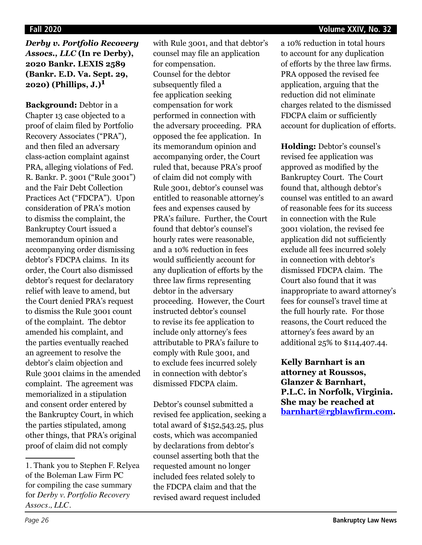*Derby v. Portfolio Recovery Assocs., LLC* **(In re Derby), 2020 Bankr. LEXIS 2589 (Bankr. E.D. Va. Sept. 29, 2020) (Phillips, J.)1**

**Background:** Debtor in a Chapter 13 case objected to a proof of claim filed by Portfolio Recovery Associates ("PRA"), and then filed an adversary class-action complaint against PRA, alleging violations of Fed. R. Bankr. P. 3001 ("Rule 3001") and the Fair Debt Collection Practices Act ("FDCPA"). Upon consideration of PRA's motion to dismiss the complaint, the Bankruptcy Court issued a memorandum opinion and accompanying order dismissing debtor's FDCPA claims. In its order, the Court also dismissed debtor's request for declaratory relief with leave to amend, but the Court denied PRA's request to dismiss the Rule 3001 count of the complaint. The debtor amended his complaint, and the parties eventually reached an agreement to resolve the debtor's claim objection and Rule 3001 claims in the amended complaint. The agreement was memorialized in a stipulation and consent order entered by the Bankruptcy Court, in which the parties stipulated, among other things, that PRA's original proof of claim did not comply

with Rule 3001, and that debtor's counsel may file an application for compensation. Counsel for the debtor subsequently filed a fee application seeking compensation for work performed in connection with the adversary proceeding. PRA opposed the fee application. In its memorandum opinion and accompanying order, the Court ruled that, because PRA's proof of claim did not comply with Rule 3001, debtor's counsel was entitled to reasonable attorney's fees and expenses caused by PRA's failure. Further, the Court found that debtor's counsel's hourly rates were reasonable, and a 10% reduction in fees would sufficiently account for any duplication of efforts by the three law firms representing debtor in the adversary proceeding. However, the Court instructed debtor's counsel to revise its fee application to include only attorney's fees attributable to PRA's failure to comply with Rule 3001, and to exclude fees incurred solely in connection with debtor's dismissed FDCPA claim.

Debtor's counsel submitted a revised fee application, seeking a total award of \$152,543.25, plus costs, which was accompanied by declarations from debtor's counsel asserting both that the requested amount no longer included fees related solely to the FDCPA claim and that the revised award request included

a 10% reduction in total hours to account for any duplication of efforts by the three law firms. PRA opposed the revised fee application, arguing that the reduction did not eliminate charges related to the dismissed FDCPA claim or sufficiently account for duplication of efforts.

**Holding:** Debtor's counsel's revised fee application was approved as modified by the Bankruptcy Court. The Court found that, although debtor's counsel was entitled to an award of reasonable fees for its success in connection with the Rule 3001 violation, the revised fee application did not sufficiently exclude all fees incurred solely in connection with debtor's dismissed FDCPA claim. The Court also found that it was inappropriate to award attorney's fees for counsel's travel time at the full hourly rate. For those reasons, the Court reduced the attorney's fees award by an additional 25% to \$114,407.44.

**Kelly Barnhart is an attorney at Roussos, Glanzer & Barnhart, P.L.C. in Norfolk, Virginia. She may be reached at barnhart@rgblawfirm.com.**

<sup>1.</sup> Thank you to Stephen F. Relyea of the Boleman Law Firm PC for compiling the case summary for *Derby v. Portfolio Recovery Assocs., LLC*.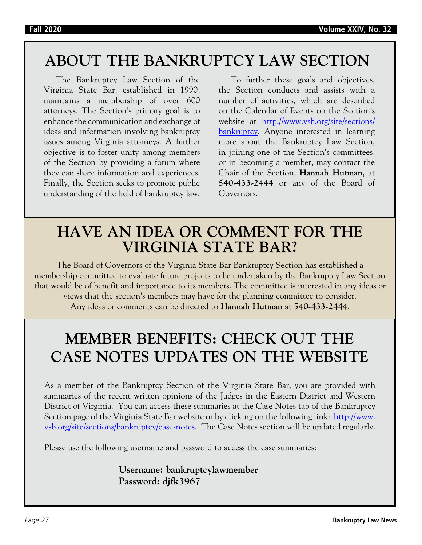# **ABOUT THE BANKRUPTCY LAW SECTION**

The Bankruptcy Law Section of the Virginia State Bar, established in 1990, maintains a membership of over 600 attorneys. The Section's primary goal is to enhance the communication and exchange of ideas and information involving bankruptcy issues among Virginia attorneys. A further objective is to foster unity among members of the Section by providing a forum where they can share information and experiences. Finally, the Section seeks to promote public understanding of the field of bankruptcy law.

To further these goals and objectives, the Section conducts and assists with a number of activities, which are described on the Calendar of Events on the Section's website at http://www.vsb.org/site/sections/ bankruptcy. Anyone interested in learning more about the Bankruptcy Law Section, in joining one of the Section's committees, or in becoming a member, may contact the Chair of the Section, **Hannah Hutman**, at **540-433-2444** or any of the Board of Governors.

# **HAVE AN IDEA OR COMMENT FOR THE VIRGINIA STATE BAR?**

The Board of Governors of the Virginia State Bar Bankruptcy Section has established a membership committee to evaluate future projects to be undertaken by the Bankruptcy Law Section that would be of benefit and importance to its members. The committee is interested in any ideas or views that the section's members may have for the planning committee to consider. Any ideas or comments can be directed to **Hannah Hutman** at **540-433-2444**.

# **MEMBER BENEFITS: CHECK OUT THE CASE NOTES UPDATES ON THE WEBSITE**

As a member of the Bankruptcy Section of the Virginia State Bar, you are provided with summaries of the recent written opinions of the Judges in the Eastern District and Western District of Virginia. You can access these summaries at the Case Notes tab of the Bankruptcy Section page of the Virginia State Bar website or by clicking on the following link: http://www. vsb.org/site/sections/bankruptcy/case-notes. The Case Notes section will be updated regularly.

Please use the following username and password to access the case summaries:

# **Username: bankruptcylawmember Password: djfk3967**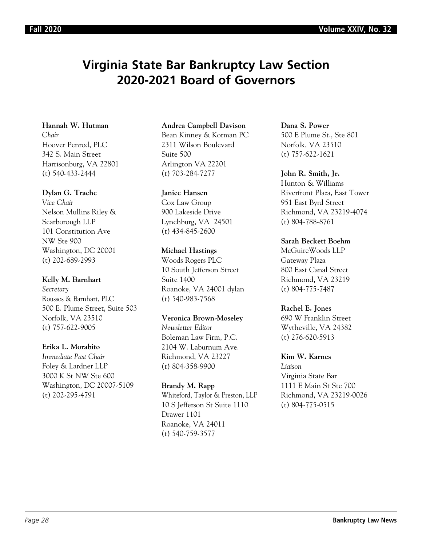# **Virginia State Bar Bankruptcy Law Section 2020-2021 Board of Governors**

### **Hannah W. Hutman**

*Chair* Hoover Penrod, PLC 342 S. Main Street Harrisonburg, VA 22801 (t) 540-433-2444

### **Dylan G. Trache**

*Vice Chair* Nelson Mullins Riley & Scarborough LLP 101 Constitution Ave NW Ste 900 Washington, DC 20001 (t) 202-689-2993

### **Kelly M. Barnhart**

*Secretary*  Roussos & Barnhart, PLC 500 E. Plume Street, Suite 503 Norfolk, VA 23510 (t) 757-622-9005

### **Erika L. Morabito**

*Immediate Past Chair* Foley & Lardner LLP 3000 K St NW Ste 600 Washington, DC 20007-5109 (t) 202-295-4791

### **Andrea Campbell Davison**

Bean Kinney & Korman PC 2311 Wilson Boulevard Suite 500 Arlington VA 22201 (t) 703-284-7277

### **Janice Hansen**

Cox Law Group 900 Lakeside Drive Lynchburg, VA 24501 (t) 434-845-2600

### **Michael Hastings**

Woods Rogers PLC 10 South Jefferson Street Suite 1400 Roanoke, VA 24001 dylan (t) 540-983-7568

### **Veronica Brown-Moseley**

*Newsletter Editor* Boleman Law Firm, P.C. 2104 W. Laburnum Ave. Richmond, VA 23227 (t) 804-358-9900

### **Brandy M. Rapp**

Whiteford, Taylor & Preston, LLP 10 S Jefferson St Suite 1110 Drawer 1101 Roanoke, VA 24011 (t) 540-759-3577

**Dana S. Power** 500 E Plume St., Ste 801 Norfolk, VA 23510 (t) 757-622-1621

### **John R. Smith, Jr.**

Hunton & Williams Riverfront Plaza, East Tower 951 East Byrd Street Richmond, VA 23219-4074 (t) 804-788-8761

### **Sarah Beckett Boehm**

McGuireWoods LLP Gateway Plaza 800 East Canal Street Richmond, VA 23219 (t) 804-775-7487

### **Rachel E. Jones**

690 W Franklin Street Wytheville, VA 24382 (t) 276-620-5913

### **Kim W. Karnes**

*Liaison* Virginia State Bar 1111 E Main St Ste 700 Richmond, VA 23219-0026 (t) 804-775-0515